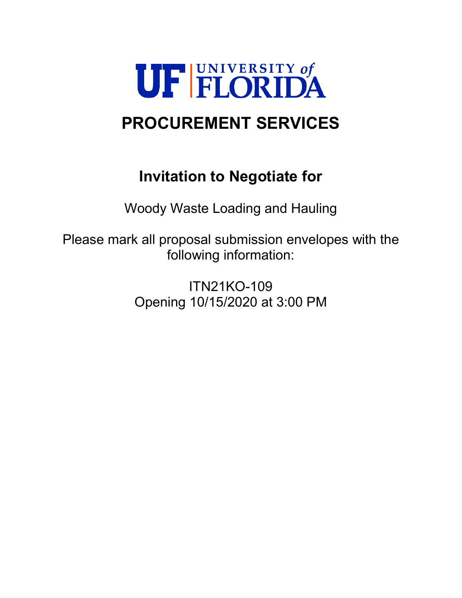

# **PROCUREMENT SERVICES**

# **Invitation to Negotiate for**

Woody Waste Loading and Hauling

Please mark all proposal submission envelopes with the following information:

> ITN21KO-109 Opening 10/15/2020 at 3:00 PM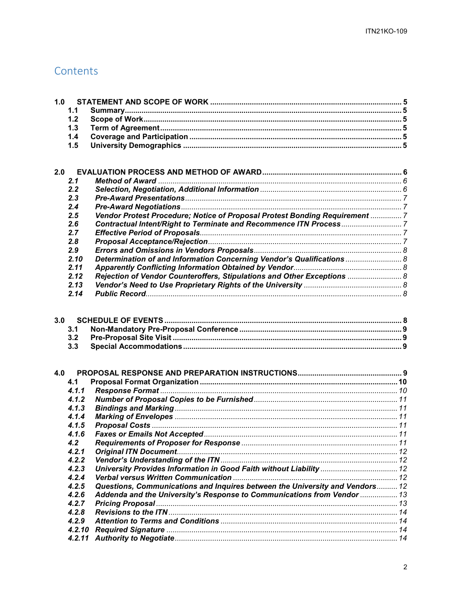# Contents

| 1.0 |                   |                                                                              |  |  |
|-----|-------------------|------------------------------------------------------------------------------|--|--|
|     | 1.1               |                                                                              |  |  |
|     | 1.2               |                                                                              |  |  |
|     | 1.3               |                                                                              |  |  |
|     | 1.4               |                                                                              |  |  |
|     | 1.5               |                                                                              |  |  |
|     |                   |                                                                              |  |  |
|     |                   |                                                                              |  |  |
| 2.0 |                   |                                                                              |  |  |
|     | 2.1               |                                                                              |  |  |
|     | 2.2               |                                                                              |  |  |
|     | 2.3               |                                                                              |  |  |
|     | 2.4               |                                                                              |  |  |
|     | 2.5               | Vendor Protest Procedure; Notice of Proposal Protest Bonding Requirement  7  |  |  |
|     | 2.6               |                                                                              |  |  |
|     | 2.7               |                                                                              |  |  |
|     | 2.8               |                                                                              |  |  |
|     | 2.9               |                                                                              |  |  |
|     | 2.10              | Determination of and Information Concerning Vendor's Qualifications  8       |  |  |
|     | 2.11              |                                                                              |  |  |
|     | 2.12              | Rejection of Vendor Counteroffers, Stipulations and Other Exceptions  8      |  |  |
|     | 2.13              |                                                                              |  |  |
|     | 2.14              |                                                                              |  |  |
| 3.0 | 3.1<br>3.2<br>3.3 |                                                                              |  |  |
| 4.0 |                   |                                                                              |  |  |
|     | 4.1               |                                                                              |  |  |
|     | 4.1.1             |                                                                              |  |  |
|     | 4.1.2             |                                                                              |  |  |
|     | 4.1.3             |                                                                              |  |  |
|     | 4.1.4             |                                                                              |  |  |
|     | 4.1.5             |                                                                              |  |  |
|     | 4.1.6             |                                                                              |  |  |
|     | 4.2               |                                                                              |  |  |
|     | 4.2.1             |                                                                              |  |  |
|     | 4.2.2             |                                                                              |  |  |
|     | 4.2.3             |                                                                              |  |  |
|     | 4.2.4             |                                                                              |  |  |
|     | 4.2.5             | Questions, Communications and Inquires between the University and Vendors 12 |  |  |
|     | 4.2.6             | Addenda and the University's Response to Communications from Vendor  13      |  |  |
|     | 4.2.7             |                                                                              |  |  |
|     | 4.2.8             |                                                                              |  |  |
|     | 4.2.9             |                                                                              |  |  |
|     | 4.2.10            |                                                                              |  |  |
|     | 4.2.11            |                                                                              |  |  |
|     |                   |                                                                              |  |  |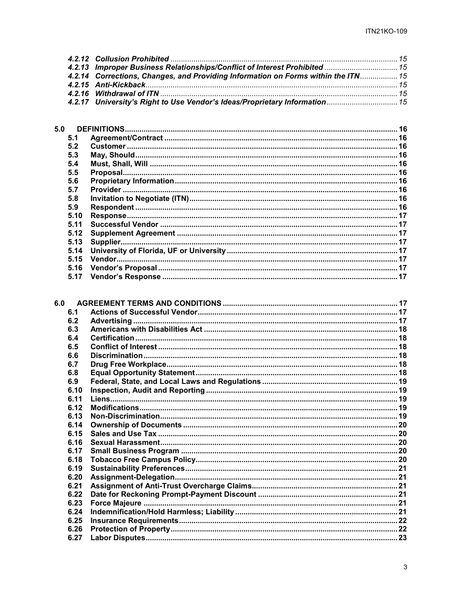| 4.2.13 Improper Business Relationships/Conflict of Interest Prohibited  15        |  |
|-----------------------------------------------------------------------------------|--|
| 4.2.14 Corrections, Changes, and Providing Information on Forms within the ITN 15 |  |
|                                                                                   |  |
|                                                                                   |  |
| 4.2.17 University's Right to Use Vendor's Ideas/Proprietary Information  15       |  |
|                                                                                   |  |

| 5.0  |  |
|------|--|
| 5.1  |  |
| 5.2  |  |
| 5.3  |  |
| 5.4  |  |
| 5.5  |  |
| 5.6  |  |
| 5.7  |  |
| 5.8  |  |
| 5.9  |  |
| 5.10 |  |
| 5.11 |  |
| 5.12 |  |
| 5.13 |  |
| 5.14 |  |
| 5.15 |  |
| 5.16 |  |
| 5.17 |  |
|      |  |

| 6.1  |     |  |
|------|-----|--|
| 6.2  |     |  |
| 6.3  |     |  |
| 6.4  |     |  |
| 6.5  |     |  |
| 6.6  |     |  |
| 6.7  |     |  |
| 6.8  |     |  |
| 6.9  |     |  |
| 6.10 |     |  |
| 6.11 |     |  |
| 6.12 |     |  |
| 6.13 |     |  |
| 6.14 |     |  |
| 6.15 |     |  |
| 6.16 |     |  |
| 6.17 |     |  |
| 6.18 |     |  |
| 6.19 |     |  |
| 6.20 |     |  |
| 6.21 |     |  |
| 6.22 |     |  |
| 6.23 |     |  |
| 6.24 |     |  |
| 6.25 |     |  |
| 6.26 |     |  |
| 6.27 |     |  |
|      | 6.0 |  |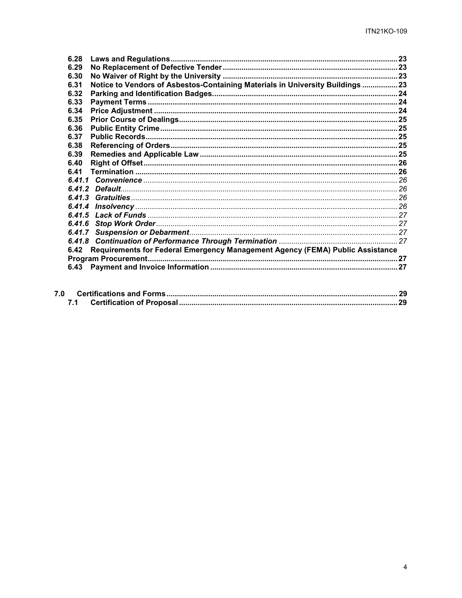| 6.28   |                                                                                |  |
|--------|--------------------------------------------------------------------------------|--|
| 6.29   |                                                                                |  |
| 6.30   |                                                                                |  |
| 6.31   | Notice to Vendors of Asbestos-Containing Materials in University Buildings  23 |  |
| 6.32   |                                                                                |  |
| 6.33   |                                                                                |  |
| 6.34   |                                                                                |  |
| 6.35   |                                                                                |  |
| 6.36   |                                                                                |  |
| 6.37   |                                                                                |  |
| 6.38   |                                                                                |  |
| 6.39   |                                                                                |  |
| 6.40   |                                                                                |  |
| 6.41   |                                                                                |  |
| 6.41.1 |                                                                                |  |
|        |                                                                                |  |
| 6.41.3 |                                                                                |  |
| 6.41.4 |                                                                                |  |
| 6.41.5 |                                                                                |  |
| 6.41.6 |                                                                                |  |
|        |                                                                                |  |
|        |                                                                                |  |
| 6.42   | Requirements for Federal Emergency Management Agency (FEMA) Public Assistance  |  |
|        |                                                                                |  |
| 6.43   |                                                                                |  |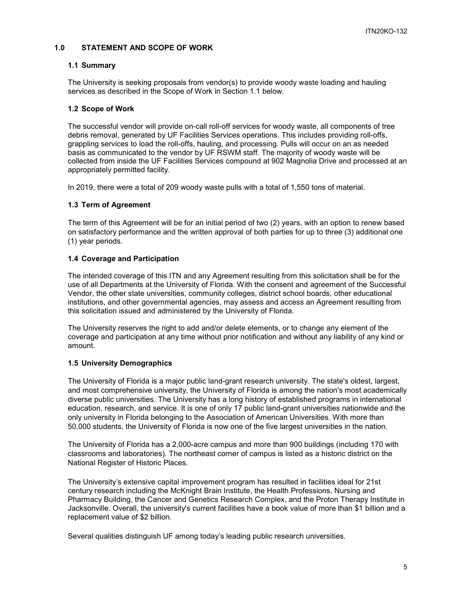### <span id="page-4-0"></span>**1.0 STATEMENT AND SCOPE OF WORK**

#### <span id="page-4-1"></span>**1.1 Summary**

The University is seeking proposals from vendor(s) to provide woody waste loading and hauling services as described in the Scope of Work in Section 1.1 below.

#### <span id="page-4-2"></span>**1.2 Scope of Work**

The successful vendor will provide on-call roll-off services for woody waste, all components of tree debris removal, generated by UF Facilities Services operations. This includes providing roll-offs, grappling services to load the roll-offs, hauling, and processing. Pulls will occur on an as needed basis as communicated to the vendor by UF RSWM staff. The majority of woody waste will be collected from inside the UF Facilities Services compound at 902 Magnolia Drive and processed at an appropriately permitted facility.

In 2019, there were a total of 209 woody waste pulls with a total of 1,550 tons of material.

#### <span id="page-4-3"></span>**1.3 Term of Agreement**

The term of this Agreement will be for an initial period of two (2) years, with an option to renew based on satisfactory performance and the written approval of both parties for up to three (3) additional one (1) year periods.

#### <span id="page-4-4"></span>**1.4 Coverage and Participation**

The intended coverage of this ITN and any Agreement resulting from this solicitation shall be for the use of all Departments at the University of Florida. With the consent and agreement of the Successful Vendor, the other state universities, community colleges, district school boards, other educational institutions, and other governmental agencies, may assess and access an Agreement resulting from this solicitation issued and administered by the University of Florida.

The University reserves the right to add and/or delete elements, or to change any element of the coverage and participation at any time without prior notification and without any liability of any kind or amount.

# <span id="page-4-5"></span>**1.5 University Demographics**

The University of Florida is a major public land-grant research university. The state's oldest, largest, and most comprehensive university, the University of Florida is among the nation's most academically diverse public universities. The University has a long history of established programs in international education, research, and service. It is one of only 17 public land-grant universities nationwide and the only university in Florida belonging to the Association of American Universities. With more than 50,000 students, the University of Florida is now one of the five largest universities in the nation.

The University of Florida has a 2,000-acre campus and more than 900 buildings (including 170 with classrooms and laboratories). The northeast corner of campus is listed as a historic district on the National Register of Historic Places.

The University's extensive capital improvement program has resulted in facilities ideal for 21st century research including the McKnight Brain Institute, the Health Professions, Nursing and Pharmacy Building, the Cancer and Genetics Research Complex, and the Proton Therapy Institute in Jacksonville. Overall, the university's current facilities have a book value of more than \$1 billion and a replacement value of \$2 billion.

Several qualities distinguish UF among today's leading public research universities.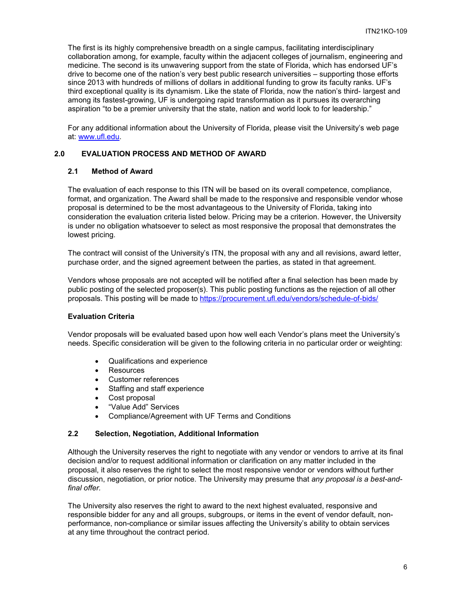The first is its highly comprehensive breadth on a single campus, facilitating interdisciplinary collaboration among, for example, faculty within the adjacent colleges of journalism, engineering and medicine. The second is its unwavering support from the state of Florida, which has endorsed UF's drive to become one of the nation's very best public research universities – supporting those efforts since 2013 with hundreds of millions of dollars in additional funding to grow its faculty ranks. UF's third exceptional quality is its dynamism. Like the state of Florida, now the nation's third- largest and among its fastest-growing, UF is undergoing rapid transformation as it pursues its overarching aspiration "to be a premier university that the state, nation and world look to for leadership."

For any additional information about the University of Florida, please visit the University's web page at: [www.ufl.edu.](http://www.ufl.edu/)

# <span id="page-5-0"></span>**2.0 EVALUATION PROCESS AND METHOD OF AWARD**

#### <span id="page-5-1"></span>**2.1 Method of Award**

The evaluation of each response to this ITN will be based on its overall competence, compliance, format, and organization. The Award shall be made to the responsive and responsible vendor whose proposal is determined to be the most advantageous to the University of Florida, taking into consideration the evaluation criteria listed below. Pricing may be a criterion. However, the University is under no obligation whatsoever to select as most responsive the proposal that demonstrates the lowest pricing.

The contract will consist of the University's ITN, the proposal with any and all revisions, award letter, purchase order, and the signed agreement between the parties, as stated in that agreement.

Vendors whose proposals are not accepted will be notified after a final selection has been made by public posting of the selected proposer(s). This public posting functions as the rejection of all other proposals. This posting will be made to<https://procurement.ufl.edu/vendors/schedule-of-bids/>

#### **Evaluation Criteria**

Vendor proposals will be evaluated based upon how well each Vendor's plans meet the University's needs. Specific consideration will be given to the following criteria in no particular order or weighting:

- Qualifications and experience
- Resources
- Customer references
- Staffing and staff experience
- Cost proposal
- "Value Add" Services
- Compliance/Agreement with UF Terms and Conditions

#### <span id="page-5-2"></span>**2.2 Selection, Negotiation, Additional Information**

Although the University reserves the right to negotiate with any vendor or vendors to arrive at its final decision and/or to request additional information or clarification on any matter included in the proposal, it also reserves the right to select the most responsive vendor or vendors without further discussion, negotiation, or prior notice. The University may presume that *any proposal is a best-andfinal offer.*

The University also reserves the right to award to the next highest evaluated, responsive and responsible bidder for any and all groups, subgroups, or items in the event of vendor default, nonperformance, non-compliance or similar issues affecting the University's ability to obtain services at any time throughout the contract period.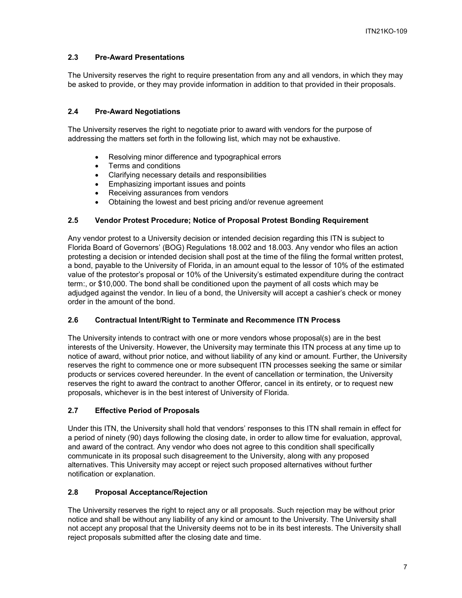# <span id="page-6-0"></span>**2.3 Pre-Award Presentations**

The University reserves the right to require presentation from any and all vendors, in which they may be asked to provide, or they may provide information in addition to that provided in their proposals.

# <span id="page-6-1"></span>**2.4 Pre-Award Negotiations**

The University reserves the right to negotiate prior to award with vendors for the purpose of addressing the matters set forth in the following list, which may not be exhaustive.

- Resolving minor difference and typographical errors
- Terms and conditions
- Clarifying necessary details and responsibilities
- Emphasizing important issues and points
- Receiving assurances from vendors
- Obtaining the lowest and best pricing and/or revenue agreement

# <span id="page-6-2"></span>**2.5 Vendor Protest Procedure; Notice of Proposal Protest Bonding Requirement**

Any vendor protest to a University decision or intended decision regarding this ITN is subject to Florida Board of Governors' (BOG) Regulations 18.002 and 18.003. Any vendor who files an action protesting a decision or intended decision shall post at the time of the filing the formal written protest, a bond, payable to the University of Florida, in an amount equal to the lessor of 10% of the estimated value of the protestor's proposal or 10% of the University's estimated expenditure during the contract term:, or \$10,000. The bond shall be conditioned upon the payment of all costs which may be adjudged against the vendor. In lieu of a bond, the University will accept a cashier's check or money order in the amount of the bond.

# <span id="page-6-3"></span>**2.6 Contractual Intent/Right to Terminate and Recommence ITN Process**

The University intends to contract with one or more vendors whose proposal(s) are in the best interests of the University. However, the University may terminate this ITN process at any time up to notice of award, without prior notice, and without liability of any kind or amount. Further, the University reserves the right to commence one or more subsequent ITN processes seeking the same or similar products or services covered hereunder. In the event of cancellation or termination, the University reserves the right to award the contract to another Offeror, cancel in its entirety, or to request new proposals, whichever is in the best interest of University of Florida.

# <span id="page-6-4"></span>**2.7 Effective Period of Proposals**

Under this ITN, the University shall hold that vendors' responses to this ITN shall remain in effect for a period of ninety (90) days following the closing date, in order to allow time for evaluation, approval, and award of the contract. Any vendor who does not agree to this condition shall specifically communicate in its proposal such disagreement to the University, along with any proposed alternatives. This University may accept or reject such proposed alternatives without further notification or explanation.

# <span id="page-6-5"></span>**2.8 Proposal Acceptance/Rejection**

The University reserves the right to reject any or all proposals. Such rejection may be without prior notice and shall be without any liability of any kind or amount to the University. The University shall not accept any proposal that the University deems not to be in its best interests. The University shall reject proposals submitted after the closing date and time.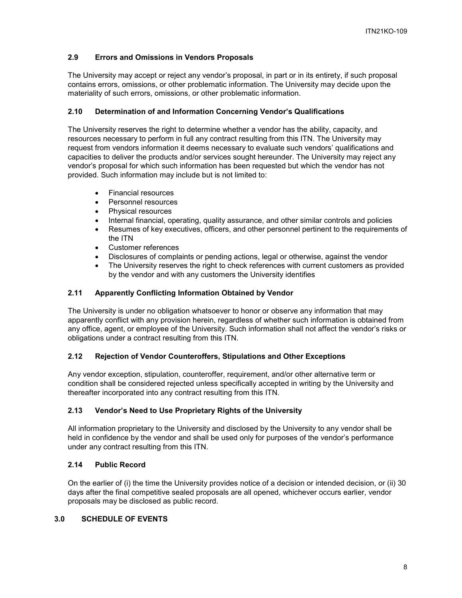# <span id="page-7-0"></span>**2.9 Errors and Omissions in Vendors Proposals**

The University may accept or reject any vendor's proposal, in part or in its entirety, if such proposal contains errors, omissions, or other problematic information. The University may decide upon the materiality of such errors, omissions, or other problematic information.

# <span id="page-7-1"></span>**2.10 Determination of and Information Concerning Vendor's Qualifications**

The University reserves the right to determine whether a vendor has the ability, capacity, and resources necessary to perform in full any contract resulting from this ITN. The University may request from vendors information it deems necessary to evaluate such vendors' qualifications and capacities to deliver the products and/or services sought hereunder. The University may reject any vendor's proposal for which such information has been requested but which the vendor has not provided. Such information may include but is not limited to:

- Financial resources
- Personnel resources
- Physical resources
- Internal financial, operating, quality assurance, and other similar controls and policies
- Resumes of key executives, officers, and other personnel pertinent to the requirements of the ITN
- Customer references
- Disclosures of complaints or pending actions, legal or otherwise, against the vendor
- The University reserves the right to check references with current customers as provided by the vendor and with any customers the University identifies

#### <span id="page-7-2"></span>**2.11 Apparently Conflicting Information Obtained by Vendor**

The University is under no obligation whatsoever to honor or observe any information that may apparently conflict with any provision herein, regardless of whether such information is obtained from any office, agent, or employee of the University. Such information shall not affect the vendor's risks or obligations under a contract resulting from this ITN.

# <span id="page-7-3"></span>**2.12 Rejection of Vendor Counteroffers, Stipulations and Other Exceptions**

Any vendor exception, stipulation, counteroffer, requirement, and/or other alternative term or condition shall be considered rejected unless specifically accepted in writing by the University and thereafter incorporated into any contract resulting from this ITN.

# <span id="page-7-4"></span>**2.13 Vendor's Need to Use Proprietary Rights of the University**

All information proprietary to the University and disclosed by the University to any vendor shall be held in confidence by the vendor and shall be used only for purposes of the vendor's performance under any contract resulting from this ITN.

# <span id="page-7-5"></span>**2.14 Public Record**

On the earlier of (i) the time the University provides notice of a decision or intended decision, or (ii) 30 days after the final competitive sealed proposals are all opened, whichever occurs earlier, vendor proposals may be disclosed as public record.

#### <span id="page-7-6"></span>**3.0 SCHEDULE OF EVENTS**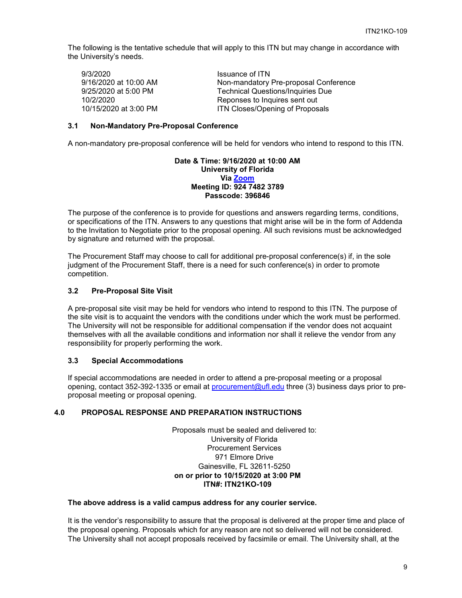The following is the tentative schedule that will apply to this ITN but may change in accordance with the University's needs.

Issuance of ITN Non-mandatory Pre-proposal Conference Technical Questions/Inquiries Due Reponses to Inquires sent out 9/3/2020 9/16/2020 at 10:00 AM 9/25/2020 at 5:00 PM 10/2/2020<br>10/15/2020 at 3:00 PM ITN Closes/Opening of Proposals

#### <span id="page-8-0"></span>**3.1 Non-Mandatory Pre-Proposal Conference**

A non-mandatory pre-proposal conference will be held for vendors who intend to respond to this ITN.

#### **Date & Time: 9/16/2020 at 10:00 AM University of Florida Via [Zoom](https://ufl.zoom.us/j/92474823789?pwd=ZFE5VjhwdG9Hblg0dXBvS2JGQXppZz09) Meeting ID: 924 7482 3789 Passcode: 396846**

The purpose of the conference is to provide for questions and answers regarding terms, conditions, or specifications of the ITN. Answers to any questions that might arise will be in the form of Addenda to the Invitation to Negotiate prior to the proposal opening. All such revisions must be acknowledged by signature and returned with the proposal.

The Procurement Staff may choose to call for additional pre-proposal conference(s) if, in the sole judgment of the Procurement Staff, there is a need for such conference(s) in order to promote competition.

#### <span id="page-8-1"></span>**3.2 Pre-Proposal Site Visit**

A pre-proposal site visit may be held for vendors who intend to respond to this ITN. The purpose of the site visit is to acquaint the vendors with the conditions under which the work must be performed. The University will not be responsible for additional compensation if the vendor does not acquaint themselves with all the available conditions and information nor shall it relieve the vendor from any responsibility for properly performing the work.

#### <span id="page-8-2"></span>**3.3 Special Accommodations**

If special accommodations are needed in order to attend a pre-proposal meeting or a proposal opening, contact 352-392-1335 or email at [procurement@ufl.edu](mailto:procurement@ufl.edu) three (3) business days prior to preproposal meeting or proposal opening.

#### <span id="page-8-3"></span>**4.0 PROPOSAL RESPONSE AND PREPARATION INSTRUCTIONS**

Proposals must be sealed and delivered to: University of Florida Procurement Services 971 Elmore Drive Gainesville, FL 32611-5250 **on or prior to 10/15/2020 at 3:00 PM ITN#: ITN21KO-109**

#### **The above address is a valid campus address for any courier service.**

It is the vendor's responsibility to assure that the proposal is delivered at the proper time and place of the proposal opening. Proposals which for any reason are not so delivered will not be considered. The University shall not accept proposals received by facsimile or email. The University shall, at the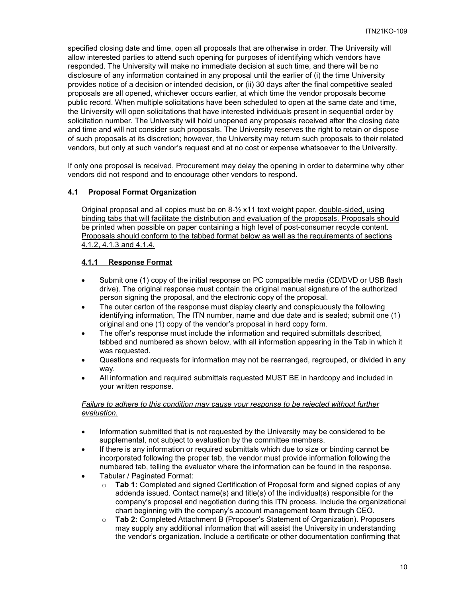specified closing date and time, open all proposals that are otherwise in order. The University will allow interested parties to attend such opening for purposes of identifying which vendors have responded. The University will make no immediate decision at such time, and there will be no disclosure of any information contained in any proposal until the earlier of (i) the time University provides notice of a decision or intended decision, or (ii) 30 days after the final competitive sealed proposals are all opened, whichever occurs earlier, at which time the vendor proposals become public record. When multiple solicitations have been scheduled to open at the same date and time, the University will open solicitations that have interested individuals present in sequential order by solicitation number. The University will hold unopened any proposals received after the closing date and time and will not consider such proposals. The University reserves the right to retain or dispose of such proposals at its discretion; however, the University may return such proposals to their related vendors, but only at such vendor's request and at no cost or expense whatsoever to the University.

If only one proposal is received, Procurement may delay the opening in order to determine why other vendors did not respond and to encourage other vendors to respond.

#### <span id="page-9-0"></span>**4.1 Proposal Format Organization**

Original proposal and all copies must be on  $8\frac{1}{2}$  x11 text weight paper, double-sided, using binding tabs that will facilitate the distribution and evaluation of the proposals. Proposals should be printed when possible on paper containing a high level of post-consumer recycle content. Proposals should conform to the tabbed format below as well as the requirements of sections 4.1.2, 4.1.3 and 4.1.4.

#### <span id="page-9-1"></span>**4.1.1 Response Format**

- Submit one (1) copy of the initial response on PC compatible media (CD/DVD or USB flash drive). The original response must contain the original manual signature of the authorized person signing the proposal, and the electronic copy of the proposal.
- The outer carton of the response must display clearly and conspicuously the following identifying information, The ITN number, name and due date and is sealed; submit one (1) original and one (1) copy of the vendor's proposal in hard copy form.
- The offer's response must include the information and required submittals described, tabbed and numbered as shown below, with all information appearing in the Tab in which it was requested.
- Questions and requests for information may not be rearranged, regrouped, or divided in any way.
- All information and required submittals requested MUST BE in hardcopy and included in your written response.

#### *Failure to adhere to this condition may cause your response to be rejected without further evaluation.*

- Information submitted that is not requested by the University may be considered to be supplemental, not subject to evaluation by the committee members.
- If there is any information or required submittals which due to size or binding cannot be incorporated following the proper tab, the vendor must provide information following the numbered tab, telling the evaluator where the information can be found in the response.
- Tabular / Paginated Format:
	- o **Tab 1:** Completed and signed Certification of Proposal form and signed copies of any addenda issued. Contact name(s) and title(s) of the individual(s) responsible for the company's proposal and negotiation during this ITN process. Include the organizational chart beginning with the company's account management team through CEO.
	- o **Tab 2:** Completed Attachment B (Proposer's Statement of Organization). Proposers may supply any additional information that will assist the University in understanding the vendor's organization. Include a certificate or other documentation confirming that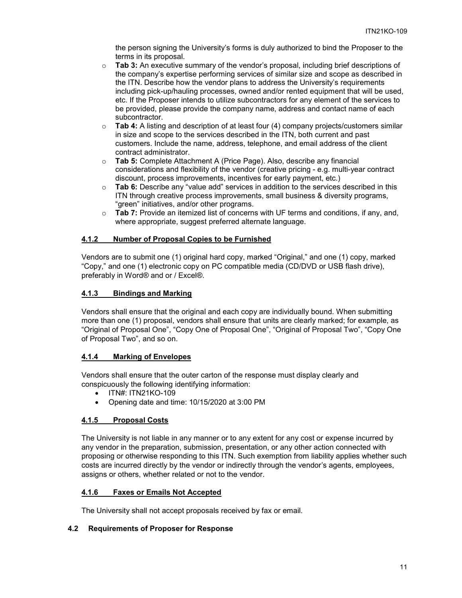the person signing the University's forms is duly authorized to bind the Proposer to the terms in its proposal.

- o **Tab 3:** An executive summary of the vendor's proposal, including brief descriptions of the company's expertise performing services of similar size and scope as described in the ITN. Describe how the vendor plans to address the University's requirements including pick-up/hauling processes, owned and/or rented equipment that will be used, etc. If the Proposer intends to utilize subcontractors for any element of the services to be provided, please provide the company name, address and contact name of each subcontractor.
- o **Tab 4:** A listing and description of at least four (4) company projects/customers similar in size and scope to the services described in the ITN, both current and past customers. Include the name, address, telephone, and email address of the client contract administrator.
- o **Tab 5:** Complete Attachment A (Price Page). Also, describe any financial considerations and flexibility of the vendor (creative pricing - e.g. multi-year contract discount, process improvements, incentives for early payment, etc.)
- o **Tab 6:** Describe any "value add" services in addition to the services described in this ITN through creative process improvements, small business & diversity programs, "green" initiatives, and/or other programs.
- o **Tab 7:** Provide an itemized list of concerns with UF terms and conditions, if any, and, where appropriate, suggest preferred alternate language.

# <span id="page-10-0"></span>**4.1.2 Number of Proposal Copies to be Furnished**

Vendors are to submit one (1) original hard copy, marked "Original," and one (1) copy, marked "Copy," and one (1) electronic copy on PC compatible media (CD/DVD or USB flash drive), preferably in Word® and or / Excel®.

#### <span id="page-10-1"></span>**4.1.3 Bindings and Marking**

Vendors shall ensure that the original and each copy are individually bound. When submitting more than one (1) proposal, vendors shall ensure that units are clearly marked; for example, as "Original of Proposal One", "Copy One of Proposal One", "Original of Proposal Two", "Copy One of Proposal Two", and so on.

# <span id="page-10-2"></span>**4.1.4 Marking of Envelopes**

Vendors shall ensure that the outer carton of the response must display clearly and conspicuously the following identifying information:

- ITN#: ITN21KO-109
- Opening date and time: 10/15/2020 at 3:00 PM

# <span id="page-10-3"></span>**4.1.5 Proposal Costs**

The University is not liable in any manner or to any extent for any cost or expense incurred by any vendor in the preparation, submission, presentation, or any other action connected with proposing or otherwise responding to this ITN. Such exemption from liability applies whether such costs are incurred directly by the vendor or indirectly through the vendor's agents, employees, assigns or others, whether related or not to the vendor.

#### <span id="page-10-4"></span>**4.1.6 Faxes or Emails Not Accepted**

The University shall not accept proposals received by fax or email.

#### <span id="page-10-5"></span>**4.2 Requirements of Proposer for Response**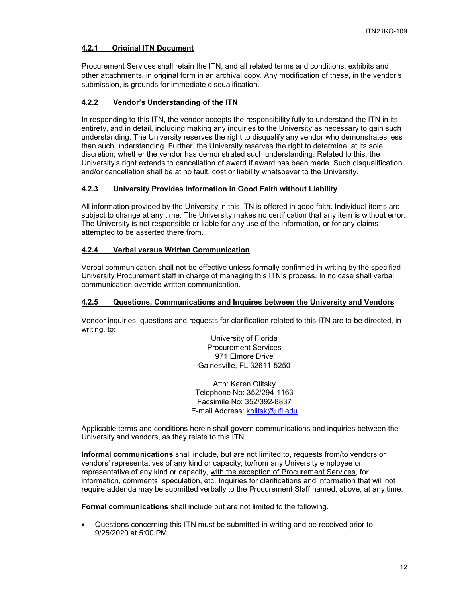# <span id="page-11-0"></span>**4.2.1 Original ITN Document**

Procurement Services shall retain the ITN, and all related terms and conditions, exhibits and other attachments, in original form in an archival copy. Any modification of these, in the vendor's submission, is grounds for immediate disqualification.

# <span id="page-11-1"></span>**4.2.2 Vendor's Understanding of the ITN**

In responding to this ITN, the vendor accepts the responsibility fully to understand the ITN in its entirety, and in detail, including making any inquiries to the University as necessary to gain such understanding. The University reserves the right to disqualify any vendor who demonstrates less than such understanding. Further, the University reserves the right to determine, at its sole discretion, whether the vendor has demonstrated such understanding. Related to this, the University's right extends to cancellation of award if award has been made. Such disqualification and/or cancellation shall be at no fault, cost or liability whatsoever to the University.

#### <span id="page-11-2"></span>**4.2.3 University Provides Information in Good Faith without Liability**

All information provided by the University in this ITN is offered in good faith. Individual items are subject to change at any time. The University makes no certification that any item is without error. The University is not responsible or liable for any use of the information, or for any claims attempted to be asserted there from.

#### <span id="page-11-3"></span>**4.2.4 Verbal versus Written Communication**

Verbal communication shall not be effective unless formally confirmed in writing by the specified University Procurement staff in charge of managing this ITN's process. In no case shall verbal communication override written communication.

#### <span id="page-11-4"></span>**4.2.5 Questions, Communications and Inquires between the University and Vendors**

Vendor inquiries, questions and requests for clarification related to this ITN are to be directed, in writing, to:

> University of Florida Procurement Services 971 Elmore Drive Gainesville, FL 32611-5250

Attn: Karen Olitsky Telephone No: 352/294-1163 Facsimile No: 352/392-8837 E-mail Address: [kolitsk@ufl.edu](mailto:kolitsk@ufl.edu)

Applicable terms and conditions herein shall govern communications and inquiries between the University and vendors, as they relate to this ITN.

**Informal communications** shall include, but are not limited to, requests from/to vendors or vendors' representatives of any kind or capacity, to/from any University employee or representative of any kind or capacity, with the exception of Procurement Services, for information, comments, speculation, etc. Inquiries for clarifications and information that will not require addenda may be submitted verbally to the Procurement Staff named, above, at any time.

**Formal communications** shall include but are not limited to the following.

• Questions concerning this ITN must be submitted in writing and be received prior to 9/25/2020 at 5:00 PM.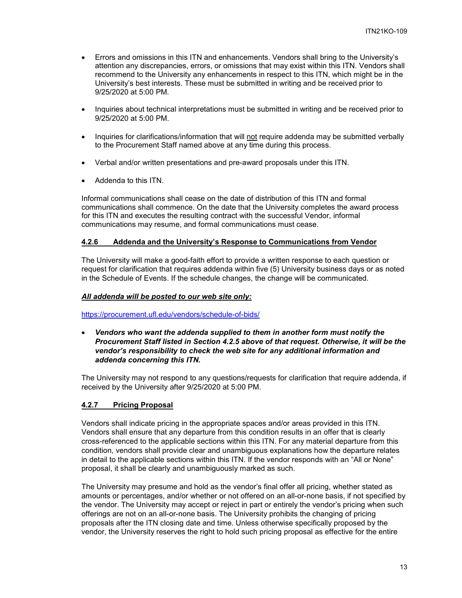- Errors and omissions in this ITN and enhancements. Vendors shall bring to the University's attention any discrepancies, errors, or omissions that may exist within this ITN. Vendors shall recommend to the University any enhancements in respect to this ITN, which might be in the University's best interests. These must be submitted in writing and be received prior to 9/25/2020 at 5:00 PM.
- Inquiries about technical interpretations must be submitted in writing and be received prior to 9/25/2020 at 5:00 PM.
- Inquiries for clarifications/information that will not require addenda may be submitted verbally to the Procurement Staff named above at any time during this process.
- Verbal and/or written presentations and pre-award proposals under this ITN.
- Addenda to this ITN.

Informal communications shall cease on the date of distribution of this ITN and formal communications shall commence. On the date that the University completes the award process for this ITN and executes the resulting contract with the successful Vendor, informal communications may resume, and formal communications must cease.

#### <span id="page-12-0"></span>**4.2.6 Addenda and the University's Response to Communications from Vendor**

The University will make a good-faith effort to provide a written response to each question or request for clarification that requires addenda within five (5) University business days or as noted in the Schedule of Events. If the schedule changes, the change will be communicated.

#### *All addenda will be posted to our web site only:*

<https://procurement.ufl.edu/vendors/schedule-of-bids/>

• *Vendors who want the addenda supplied to them in another form must notify the Procurement Staff listed in Section 4.2.5 above of that request. Otherwise, it will be the vendor's responsibility to check the web site for any additional information and addenda concerning this ITN.*

The University may not respond to any questions/requests for clarification that require addenda, if received by the University after 9/25/2020 at 5:00 PM.

#### <span id="page-12-1"></span>**4.2.7 Pricing Proposal**

Vendors shall indicate pricing in the appropriate spaces and/or areas provided in this ITN. Vendors shall ensure that any departure from this condition results in an offer that is clearly cross-referenced to the applicable sections within this ITN. For any material departure from this condition, vendors shall provide clear and unambiguous explanations how the departure relates in detail to the applicable sections within this ITN. If the vendor responds with an "All or None" proposal, it shall be clearly and unambiguously marked as such.

The University may presume and hold as the vendor's final offer all pricing, whether stated as amounts or percentages, and/or whether or not offered on an all-or-none basis, if not specified by the vendor. The University may accept or reject in part or entirely the vendor's pricing when such offerings are not on an all-or-none basis. The University prohibits the changing of pricing proposals after the ITN closing date and time. Unless otherwise specifically proposed by the vendor, the University reserves the right to hold such pricing proposal as effective for the entire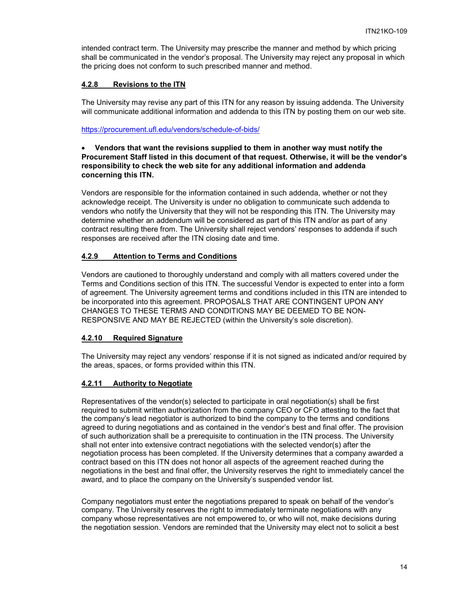intended contract term. The University may prescribe the manner and method by which pricing shall be communicated in the vendor's proposal. The University may reject any proposal in which the pricing does not conform to such prescribed manner and method.

#### <span id="page-13-0"></span>**4.2.8 Revisions to the ITN**

The University may revise any part of this ITN for any reason by issuing addenda. The University will communicate additional information and addenda to this ITN by posting them on our web site.

<https://procurement.ufl.edu/vendors/schedule-of-bids/>

#### • **Vendors that want the revisions supplied to them in another way must notify the Procurement Staff listed in this document of that request. Otherwise, it will be the vendor's responsibility to check the web site for any additional information and addenda concerning this ITN.**

Vendors are responsible for the information contained in such addenda, whether or not they acknowledge receipt. The University is under no obligation to communicate such addenda to vendors who notify the University that they will not be responding this ITN. The University may determine whether an addendum will be considered as part of this ITN and/or as part of any contract resulting there from. The University shall reject vendors' responses to addenda if such responses are received after the ITN closing date and time.

#### <span id="page-13-1"></span>**4.2.9 Attention to Terms and Conditions**

Vendors are cautioned to thoroughly understand and comply with all matters covered under the Terms and Conditions section of this ITN. The successful Vendor is expected to enter into a form of agreement. The University agreement terms and conditions included in this ITN are intended to be incorporated into this agreement. PROPOSALS THAT ARE CONTINGENT UPON ANY CHANGES TO THESE TERMS AND CONDITIONS MAY BE DEEMED TO BE NON-RESPONSIVE AND MAY BE REJECTED (within the University's sole discretion).

# <span id="page-13-2"></span>**4.2.10 Required Signature**

The University may reject any vendors' response if it is not signed as indicated and/or required by the areas, spaces, or forms provided within this ITN.

# <span id="page-13-3"></span>**4.2.11 Authority to Negotiate**

Representatives of the vendor(s) selected to participate in oral negotiation(s) shall be first required to submit written authorization from the company CEO or CFO attesting to the fact that the company's lead negotiator is authorized to bind the company to the terms and conditions agreed to during negotiations and as contained in the vendor's best and final offer. The provision of such authorization shall be a prerequisite to continuation in the ITN process. The University shall not enter into extensive contract negotiations with the selected vendor(s) after the negotiation process has been completed. If the University determines that a company awarded a contract based on this ITN does not honor all aspects of the agreement reached during the negotiations in the best and final offer, the University reserves the right to immediately cancel the award, and to place the company on the University's suspended vendor list.

Company negotiators must enter the negotiations prepared to speak on behalf of the vendor's company. The University reserves the right to immediately terminate negotiations with any company whose representatives are not empowered to, or who will not, make decisions during the negotiation session. Vendors are reminded that the University may elect not to solicit a best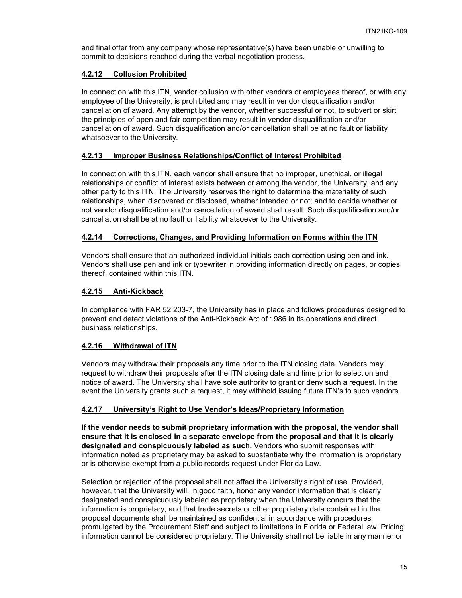and final offer from any company whose representative(s) have been unable or unwilling to commit to decisions reached during the verbal negotiation process.

# <span id="page-14-0"></span>**4.2.12 Collusion Prohibited**

In connection with this ITN, vendor collusion with other vendors or employees thereof, or with any employee of the University, is prohibited and may result in vendor disqualification and/or cancellation of award. Any attempt by the vendor, whether successful or not, to subvert or skirt the principles of open and fair competition may result in vendor disqualification and/or cancellation of award. Such disqualification and/or cancellation shall be at no fault or liability whatsoever to the University.

#### <span id="page-14-1"></span>**4.2.13 Improper Business Relationships/Conflict of Interest Prohibited**

In connection with this ITN, each vendor shall ensure that no improper, unethical, or illegal relationships or conflict of interest exists between or among the vendor, the University, and any other party to this ITN. The University reserves the right to determine the materiality of such relationships, when discovered or disclosed, whether intended or not; and to decide whether or not vendor disqualification and/or cancellation of award shall result. Such disqualification and/or cancellation shall be at no fault or liability whatsoever to the University.

#### <span id="page-14-2"></span>**4.2.14 Corrections, Changes, and Providing Information on Forms within the ITN**

Vendors shall ensure that an authorized individual initials each correction using pen and ink. Vendors shall use pen and ink or typewriter in providing information directly on pages, or copies thereof, contained within this ITN.

#### <span id="page-14-3"></span>**4.2.15 Anti-Kickback**

In compliance with FAR 52.203-7, the University has in place and follows procedures designed to prevent and detect violations of the Anti-Kickback Act of 1986 in its operations and direct business relationships.

# <span id="page-14-4"></span>**4.2.16 Withdrawal of ITN**

Vendors may withdraw their proposals any time prior to the ITN closing date. Vendors may request to withdraw their proposals after the ITN closing date and time prior to selection and notice of award. The University shall have sole authority to grant or deny such a request. In the event the University grants such a request, it may withhold issuing future ITN's to such vendors.

# <span id="page-14-5"></span>**4.2.17 University's Right to Use Vendor's Ideas/Proprietary Information**

**If the vendor needs to submit proprietary information with the proposal, the vendor shall ensure that it is enclosed in a separate envelope from the proposal and that it is clearly designated and conspicuously labeled as such.** Vendors who submit responses with information noted as proprietary may be asked to substantiate why the information is proprietary or is otherwise exempt from a public records request under Florida Law.

Selection or rejection of the proposal shall not affect the University's right of use. Provided, however, that the University will, in good faith, honor any vendor information that is clearly designated and conspicuously labeled as proprietary when the University concurs that the information is proprietary, and that trade secrets or other proprietary data contained in the proposal documents shall be maintained as confidential in accordance with procedures promulgated by the Procurement Staff and subject to limitations in Florida or Federal law. Pricing information cannot be considered proprietary. The University shall not be liable in any manner or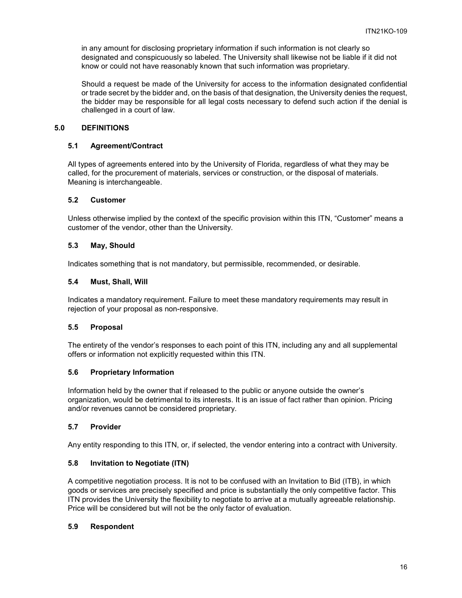in any amount for disclosing proprietary information if such information is not clearly so designated and conspicuously so labeled. The University shall likewise not be liable if it did not know or could not have reasonably known that such information was proprietary.

Should a request be made of the University for access to the information designated confidential or trade secret by the bidder and, on the basis of that designation, the University denies the request, the bidder may be responsible for all legal costs necessary to defend such action if the denial is challenged in a court of law.

#### <span id="page-15-0"></span>**5.0 DEFINITIONS**

#### <span id="page-15-1"></span>**5.1 Agreement/Contract**

All types of agreements entered into by the University of Florida, regardless of what they may be called, for the procurement of materials, services or construction, or the disposal of materials. Meaning is interchangeable.

## <span id="page-15-2"></span>**5.2 Customer**

Unless otherwise implied by the context of the specific provision within this ITN, "Customer" means a customer of the vendor, other than the University.

#### <span id="page-15-3"></span>**5.3 May, Should**

Indicates something that is not mandatory, but permissible, recommended, or desirable.

#### <span id="page-15-4"></span>**5.4 Must, Shall, Will**

Indicates a mandatory requirement. Failure to meet these mandatory requirements may result in rejection of your proposal as non-responsive.

#### <span id="page-15-5"></span>**5.5 Proposal**

The entirety of the vendor's responses to each point of this ITN, including any and all supplemental offers or information not explicitly requested within this ITN.

#### <span id="page-15-6"></span>**5.6 Proprietary Information**

Information held by the owner that if released to the public or anyone outside the owner's organization, would be detrimental to its interests. It is an issue of fact rather than opinion. Pricing and/or revenues cannot be considered proprietary.

#### <span id="page-15-7"></span>**5.7 Provider**

Any entity responding to this ITN, or, if selected, the vendor entering into a contract with University.

#### <span id="page-15-8"></span>**5.8 Invitation to Negotiate (ITN)**

A competitive negotiation process. It is not to be confused with an Invitation to Bid (ITB), in which goods or services are precisely specified and price is substantially the only competitive factor. This ITN provides the University the flexibility to negotiate to arrive at a mutually agreeable relationship. Price will be considered but will not be the only factor of evaluation.

#### <span id="page-15-9"></span>**5.9 Respondent**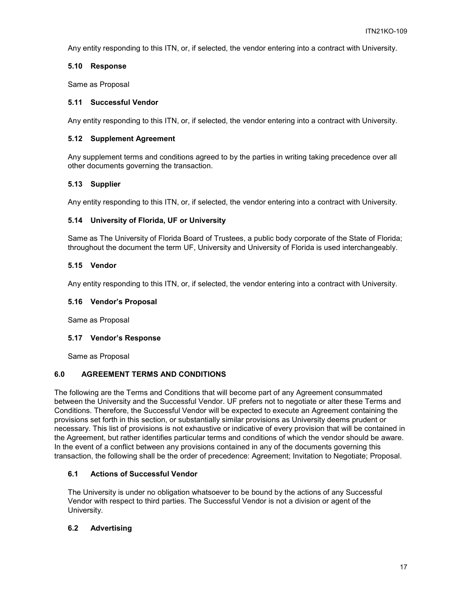Any entity responding to this ITN, or, if selected, the vendor entering into a contract with University.

## <span id="page-16-0"></span>**5.10 Response**

Same as Proposal

#### <span id="page-16-1"></span>**5.11 Successful Vendor**

Any entity responding to this ITN, or, if selected, the vendor entering into a contract with University.

#### <span id="page-16-2"></span>**5.12 Supplement Agreement**

Any supplement terms and conditions agreed to by the parties in writing taking precedence over all other documents governing the transaction.

#### <span id="page-16-3"></span>**5.13 Supplier**

Any entity responding to this ITN, or, if selected, the vendor entering into a contract with University.

#### <span id="page-16-4"></span>**5.14 University of Florida, UF or University**

Same as The University of Florida Board of Trustees, a public body corporate of the State of Florida; throughout the document the term UF, University and University of Florida is used interchangeably.

#### <span id="page-16-5"></span>**5.15 Vendor**

Any entity responding to this ITN, or, if selected, the vendor entering into a contract with University.

#### <span id="page-16-6"></span>**5.16 Vendor's Proposal**

Same as Proposal

# <span id="page-16-7"></span>**5.17 Vendor's Response**

Same as Proposal

# <span id="page-16-8"></span>**6.0 AGREEMENT TERMS AND CONDITIONS**

The following are the Terms and Conditions that will become part of any Agreement consummated between the University and the Successful Vendor. UF prefers not to negotiate or alter these Terms and Conditions. Therefore, the Successful Vendor will be expected to execute an Agreement containing the provisions set forth in this section, or substantially similar provisions as University deems prudent or necessary. This list of provisions is not exhaustive or indicative of every provision that will be contained in the Agreement, but rather identifies particular terms and conditions of which the vendor should be aware. In the event of a conflict between any provisions contained in any of the documents governing this transaction, the following shall be the order of precedence: Agreement; Invitation to Negotiate; Proposal.

# <span id="page-16-9"></span>**6.1 Actions of Successful Vendor**

The University is under no obligation whatsoever to be bound by the actions of any Successful Vendor with respect to third parties. The Successful Vendor is not a division or agent of the University.

# <span id="page-16-10"></span>**6.2 Advertising**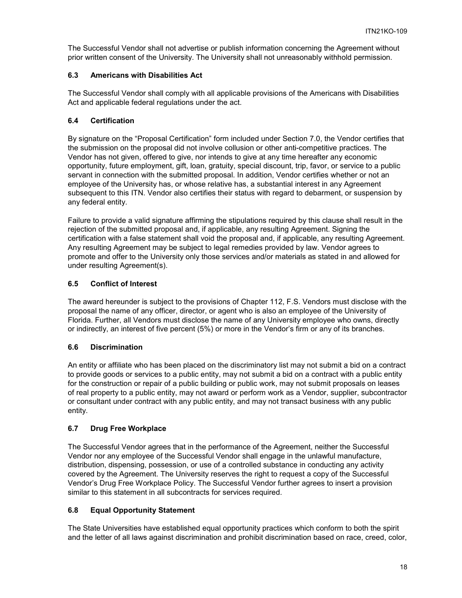The Successful Vendor shall not advertise or publish information concerning the Agreement without prior written consent of the University. The University shall not unreasonably withhold permission.

# <span id="page-17-0"></span>**6.3 Americans with Disabilities Act**

The Successful Vendor shall comply with all applicable provisions of the Americans with Disabilities Act and applicable federal regulations under the act.

# <span id="page-17-1"></span>**6.4 Certification**

By signature on the "Proposal Certification" form included under Section 7.0, the Vendor certifies that the submission on the proposal did not involve collusion or other anti-competitive practices. The Vendor has not given, offered to give, nor intends to give at any time hereafter any economic opportunity, future employment, gift, loan, gratuity, special discount, trip, favor, or service to a public servant in connection with the submitted proposal. In addition, Vendor certifies whether or not an employee of the University has, or whose relative has, a substantial interest in any Agreement subsequent to this ITN. Vendor also certifies their status with regard to debarment, or suspension by any federal entity.

Failure to provide a valid signature affirming the stipulations required by this clause shall result in the rejection of the submitted proposal and, if applicable, any resulting Agreement. Signing the certification with a false statement shall void the proposal and, if applicable, any resulting Agreement. Any resulting Agreement may be subject to legal remedies provided by law. Vendor agrees to promote and offer to the University only those services and/or materials as stated in and allowed for under resulting Agreement(s).

# <span id="page-17-2"></span>**6.5 Conflict of Interest**

The award hereunder is subject to the provisions of Chapter 112, F.S. Vendors must disclose with the proposal the name of any officer, director, or agent who is also an employee of the University of Florida. Further, all Vendors must disclose the name of any University employee who owns, directly or indirectly, an interest of five percent (5%) or more in the Vendor's firm or any of its branches.

# <span id="page-17-3"></span>**6.6 Discrimination**

An entity or affiliate who has been placed on the discriminatory list may not submit a bid on a contract to provide goods or services to a public entity, may not submit a bid on a contract with a public entity for the construction or repair of a public building or public work, may not submit proposals on leases of real property to a public entity, may not award or perform work as a Vendor, supplier, subcontractor or consultant under contract with any public entity, and may not transact business with any public entity.

# <span id="page-17-4"></span>**6.7 Drug Free Workplace**

The Successful Vendor agrees that in the performance of the Agreement, neither the Successful Vendor nor any employee of the Successful Vendor shall engage in the unlawful manufacture, distribution, dispensing, possession, or use of a controlled substance in conducting any activity covered by the Agreement. The University reserves the right to request a copy of the Successful Vendor's Drug Free Workplace Policy. The Successful Vendor further agrees to insert a provision similar to this statement in all subcontracts for services required.

# <span id="page-17-5"></span>**6.8 Equal Opportunity Statement**

The State Universities have established equal opportunity practices which conform to both the spirit and the letter of all laws against discrimination and prohibit discrimination based on race, creed, color,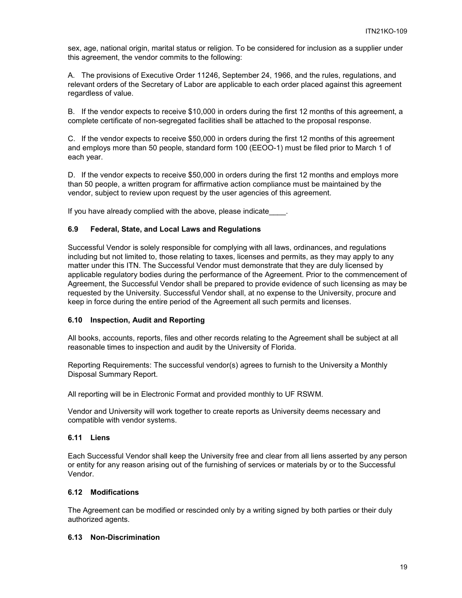sex, age, national origin, marital status or religion. To be considered for inclusion as a supplier under this agreement, the vendor commits to the following:

A. The provisions of Executive Order 11246, September 24, 1966, and the rules, regulations, and relevant orders of the Secretary of Labor are applicable to each order placed against this agreement regardless of value.

B. If the vendor expects to receive \$10,000 in orders during the first 12 months of this agreement, a complete certificate of non-segregated facilities shall be attached to the proposal response.

C. If the vendor expects to receive \$50,000 in orders during the first 12 months of this agreement and employs more than 50 people, standard form 100 (EEOO-1) must be filed prior to March 1 of each year.

D. If the vendor expects to receive \$50,000 in orders during the first 12 months and employs more than 50 people, a written program for affirmative action compliance must be maintained by the vendor, subject to review upon request by the user agencies of this agreement.

If you have already complied with the above, please indicate .

# <span id="page-18-0"></span>**6.9 Federal, State, and Local Laws and Regulations**

Successful Vendor is solely responsible for complying with all laws, ordinances, and regulations including but not limited to, those relating to taxes, licenses and permits, as they may apply to any matter under this ITN. The Successful Vendor must demonstrate that they are duly licensed by applicable regulatory bodies during the performance of the Agreement. Prior to the commencement of Agreement, the Successful Vendor shall be prepared to provide evidence of such licensing as may be requested by the University. Successful Vendor shall, at no expense to the University, procure and keep in force during the entire period of the Agreement all such permits and licenses.

# <span id="page-18-1"></span>**6.10 Inspection, Audit and Reporting**

All books, accounts, reports, files and other records relating to the Agreement shall be subject at all reasonable times to inspection and audit by the University of Florida.

Reporting Requirements: The successful vendor(s) agrees to furnish to the University a Monthly Disposal Summary Report.

All reporting will be in Electronic Format and provided monthly to UF RSWM.

Vendor and University will work together to create reports as University deems necessary and compatible with vendor systems.

#### <span id="page-18-2"></span>**6.11 Liens**

Each Successful Vendor shall keep the University free and clear from all liens asserted by any person or entity for any reason arising out of the furnishing of services or materials by or to the Successful Vendor.

#### <span id="page-18-3"></span>**6.12 Modifications**

The Agreement can be modified or rescinded only by a writing signed by both parties or their duly authorized agents.

#### <span id="page-18-4"></span>**6.13 Non-Discrimination**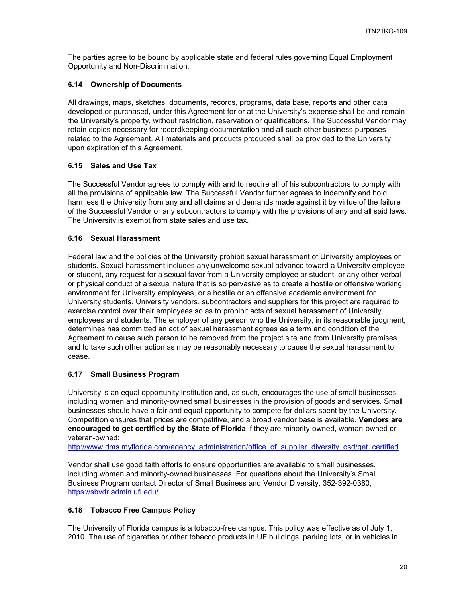The parties agree to be bound by applicable state and federal rules governing Equal Employment Opportunity and Non-Discrimination.

# <span id="page-19-0"></span>**6.14 Ownership of Documents**

All drawings, maps, sketches, documents, records, programs, data base, reports and other data developed or purchased, under this Agreement for or at the University's expense shall be and remain the University's property, without restriction, reservation or qualifications. The Successful Vendor may retain copies necessary for recordkeeping documentation and all such other business purposes related to the Agreement. All materials and products produced shall be provided to the University upon expiration of this Agreement.

#### <span id="page-19-1"></span>**6.15 Sales and Use Tax**

The Successful Vendor agrees to comply with and to require all of his subcontractors to comply with all the provisions of applicable law. The Successful Vendor further agrees to indemnify and hold harmless the University from any and all claims and demands made against it by virtue of the failure of the Successful Vendor or any subcontractors to comply with the provisions of any and all said laws. The University is exempt from state sales and use tax.

#### <span id="page-19-2"></span>**6.16 Sexual Harassment**

Federal law and the policies of the University prohibit sexual harassment of University employees or students. Sexual harassment includes any unwelcome sexual advance toward a University employee or student, any request for a sexual favor from a University employee or student, or any other verbal or physical conduct of a sexual nature that is so pervasive as to create a hostile or offensive working environment for University employees, or a hostile or an offensive academic environment for University students. University vendors, subcontractors and suppliers for this project are required to exercise control over their employees so as to prohibit acts of sexual harassment of University employees and students. The employer of any person who the University, in its reasonable judgment, determines has committed an act of sexual harassment agrees as a term and condition of the Agreement to cause such person to be removed from the project site and from University premises and to take such other action as may be reasonably necessary to cause the sexual harassment to cease.

#### <span id="page-19-3"></span>**6.17 Small Business Program**

University is an equal opportunity institution and, as such, encourages the use of small businesses, including women and minority-owned small businesses in the provision of goods and services. Small businesses should have a fair and equal opportunity to compete for dollars spent by the University. Competition ensures that prices are competitive, and a broad vendor base is available. **Vendors are encouraged to get certified by the State of Florida** if they are minority-owned, woman-owned or veteran-owned:

[http://www.dms.myflorida.com/agency\\_administration/office\\_of\\_supplier\\_diversity\\_osd/get\\_certified](http://www.dms.myflorida.com/agency_administration/office_of_supplier_diversity_osd/get_certified)

Vendor shall use good faith efforts to ensure opportunities are available to small businesses, including women and minority-owned businesses. For questions about the University's Small Business Program contact Director of Small Business and Vendor Diversity, 352-392-0380, <https://sbvdr.admin.ufl.edu/>

#### <span id="page-19-4"></span>**6.18 Tobacco Free Campus Policy**

The University of Florida campus is a tobacco-free campus. This policy was effective as of July 1, 2010. The use of cigarettes or other tobacco products in UF buildings, parking lots, or in vehicles in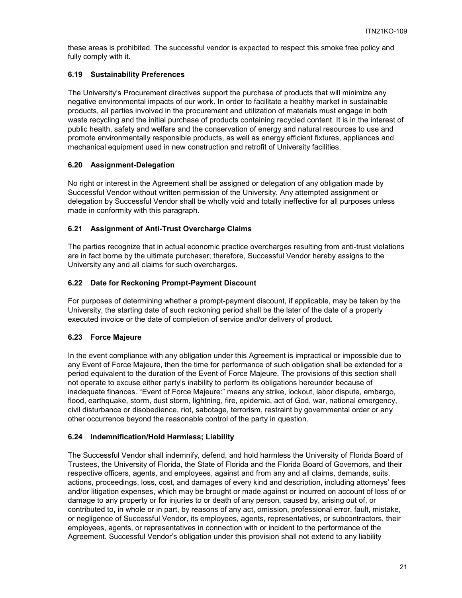these areas is prohibited. The successful vendor is expected to respect this smoke free policy and fully comply with it.

## <span id="page-20-0"></span>**6.19 Sustainability Preferences**

The University's Procurement directives support the purchase of products that will minimize any negative environmental impacts of our work. In order to facilitate a healthy market in sustainable products, all parties involved in the procurement and utilization of materials must engage in both waste recycling and the initial purchase of products containing recycled content. It is in the interest of public health, safety and welfare and the conservation of energy and natural resources to use and promote environmentally responsible products, as well as energy efficient fixtures, appliances and mechanical equipment used in new construction and retrofit of University facilities.

#### <span id="page-20-1"></span>**6.20 Assignment-Delegation**

No right or interest in the Agreement shall be assigned or delegation of any obligation made by Successful Vendor without written permission of the University. Any attempted assignment or delegation by Successful Vendor shall be wholly void and totally ineffective for all purposes unless made in conformity with this paragraph.

# <span id="page-20-2"></span>**6.21 Assignment of Anti-Trust Overcharge Claims**

The parties recognize that in actual economic practice overcharges resulting from anti-trust violations are in fact borne by the ultimate purchaser; therefore, Successful Vendor hereby assigns to the University any and all claims for such overcharges.

# <span id="page-20-3"></span>**6.22 Date for Reckoning Prompt-Payment Discount**

For purposes of determining whether a prompt-payment discount, if applicable, may be taken by the University, the starting date of such reckoning period shall be the later of the date of a properly executed invoice or the date of completion of service and/or delivery of product.

# <span id="page-20-4"></span>**6.23 Force Majeure**

In the event compliance with any obligation under this Agreement is impractical or impossible due to any Event of Force Majeure, then the time for performance of such obligation shall be extended for a period equivalent to the duration of the Event of Force Majeure. The provisions of this section shall not operate to excuse either party's inability to perform its obligations hereunder because of inadequate finances. "Event of Force Majeure:" means any strike, lockout, labor dispute, embargo, flood, earthquake, storm, dust storm, lightning, fire, epidemic, act of God, war, national emergency, civil disturbance or disobedience, riot, sabotage, terrorism, restraint by governmental order or any other occurrence beyond the reasonable control of the party in question.

#### <span id="page-20-5"></span>**6.24 Indemnification/Hold Harmless; Liability**

The Successful Vendor shall indemnify, defend, and hold harmless the University of Florida Board of Trustees, the University of Florida, the State of Florida and the Florida Board of Governors, and their respective officers, agents, and employees, against and from any and all claims, demands, suits, actions, proceedings, loss, cost, and damages of every kind and description, including attorneys' fees and/or litigation expenses, which may be brought or made against or incurred on account of loss of or damage to any property or for injuries to or death of any person, caused by, arising out of, or contributed to, in whole or in part, by reasons of any act, omission, professional error, fault, mistake, or negligence of Successful Vendor, its employees, agents, representatives, or subcontractors, their employees, agents, or representatives in connection with or incident to the performance of the Agreement. Successful Vendor's obligation under this provision shall not extend to any liability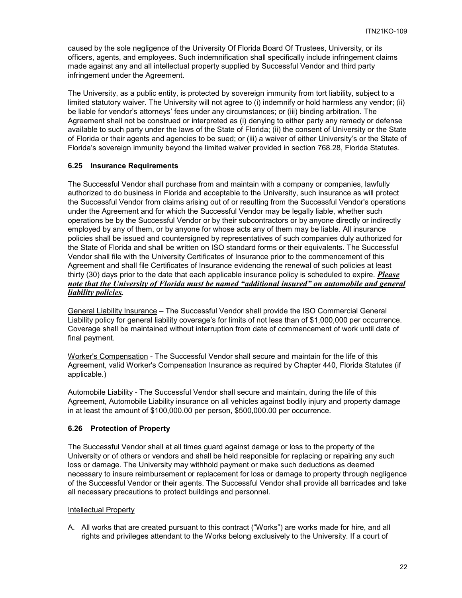caused by the sole negligence of the University Of Florida Board Of Trustees, University, or its officers, agents, and employees. Such indemnification shall specifically include infringement claims made against any and all intellectual property supplied by Successful Vendor and third party infringement under the Agreement.

The University, as a public entity, is protected by sovereign immunity from tort liability, subject to a limited statutory waiver. The University will not agree to (i) indemnify or hold harmless any vendor; (ii) be liable for vendor's attorneys' fees under any circumstances; or (iii) binding arbitration. The Agreement shall not be construed or interpreted as (i) denying to either party any remedy or defense available to such party under the laws of the State of Florida; (ii) the consent of University or the State of Florida or their agents and agencies to be sued; or (iii) a waiver of either University's or the State of Florida's sovereign immunity beyond the limited waiver provided in section 768.28, Florida Statutes.

# <span id="page-21-0"></span>**6.25 Insurance Requirements**

The Successful Vendor shall purchase from and maintain with a company or companies, lawfully authorized to do business in Florida and acceptable to the University, such insurance as will protect the Successful Vendor from claims arising out of or resulting from the Successful Vendor's operations under the Agreement and for which the Successful Vendor may be legally liable, whether such operations be by the Successful Vendor or by their subcontractors or by anyone directly or indirectly employed by any of them, or by anyone for whose acts any of them may be liable. All insurance policies shall be issued and countersigned by representatives of such companies duly authorized for the State of Florida and shall be written on ISO standard forms or their equivalents. The Successful Vendor shall file with the University Certificates of Insurance prior to the commencement of this Agreement and shall file Certificates of Insurance evidencing the renewal of such policies at least thirty (30) days prior to the date that each applicable insurance policy is scheduled to expire. *Please note that the University of Florida must be named "additional insured" on automobile and general liability policies.*

General Liability Insurance – The Successful Vendor shall provide the ISO Commercial General Liability policy for general liability coverage's for limits of not less than of \$1,000,000 per occurrence. Coverage shall be maintained without interruption from date of commencement of work until date of final payment.

Worker's Compensation - The Successful Vendor shall secure and maintain for the life of this Agreement, valid Worker's Compensation Insurance as required by Chapter 440, Florida Statutes (if applicable.)

Automobile Liability - The Successful Vendor shall secure and maintain, during the life of this Agreement, Automobile Liability insurance on all vehicles against bodily injury and property damage in at least the amount of \$100,000.00 per person, \$500,000.00 per occurrence.

#### <span id="page-21-1"></span>**6.26 Protection of Property**

The Successful Vendor shall at all times guard against damage or loss to the property of the University or of others or vendors and shall be held responsible for replacing or repairing any such loss or damage. The University may withhold payment or make such deductions as deemed necessary to insure reimbursement or replacement for loss or damage to property through negligence of the Successful Vendor or their agents. The Successful Vendor shall provide all barricades and take all necessary precautions to protect buildings and personnel.

#### Intellectual Property

A. All works that are created pursuant to this contract ("Works") are works made for hire, and all rights and privileges attendant to the Works belong exclusively to the University. If a court of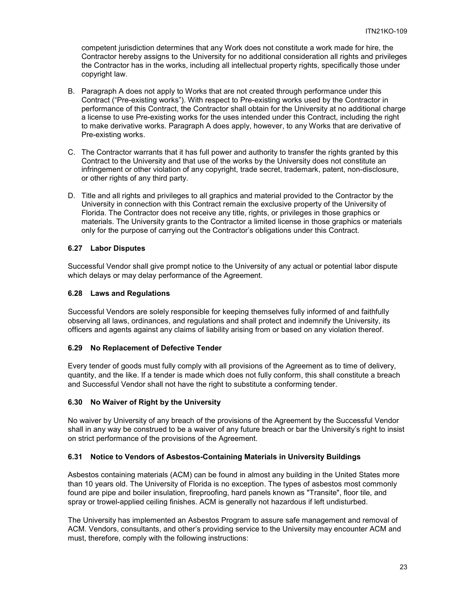competent jurisdiction determines that any Work does not constitute a work made for hire, the Contractor hereby assigns to the University for no additional consideration all rights and privileges the Contractor has in the works, including all intellectual property rights, specifically those under copyright law.

- B. Paragraph A does not apply to Works that are not created through performance under this Contract ("Pre-existing works"). With respect to Pre-existing works used by the Contractor in performance of this Contract, the Contractor shall obtain for the University at no additional charge a license to use Pre-existing works for the uses intended under this Contract, including the right to make derivative works. Paragraph A does apply, however, to any Works that are derivative of Pre-existing works.
- C. The Contractor warrants that it has full power and authority to transfer the rights granted by this Contract to the University and that use of the works by the University does not constitute an infringement or other violation of any copyright, trade secret, trademark, patent, non-disclosure, or other rights of any third party.
- D. Title and all rights and privileges to all graphics and material provided to the Contractor by the University in connection with this Contract remain the exclusive property of the University of Florida. The Contractor does not receive any title, rights, or privileges in those graphics or materials. The University grants to the Contractor a limited license in those graphics or materials only for the purpose of carrying out the Contractor's obligations under this Contract.

#### <span id="page-22-0"></span>**6.27 Labor Disputes**

Successful Vendor shall give prompt notice to the University of any actual or potential labor dispute which delays or may delay performance of the Agreement.

#### <span id="page-22-1"></span>**6.28 Laws and Regulations**

Successful Vendors are solely responsible for keeping themselves fully informed of and faithfully observing all laws, ordinances, and regulations and shall protect and indemnify the University, its officers and agents against any claims of liability arising from or based on any violation thereof.

#### <span id="page-22-2"></span>**6.29 No Replacement of Defective Tender**

Every tender of goods must fully comply with all provisions of the Agreement as to time of delivery, quantity, and the like. If a tender is made which does not fully conform, this shall constitute a breach and Successful Vendor shall not have the right to substitute a conforming tender.

#### <span id="page-22-3"></span>**6.30 No Waiver of Right by the University**

No waiver by University of any breach of the provisions of the Agreement by the Successful Vendor shall in any way be construed to be a waiver of any future breach or bar the University's right to insist on strict performance of the provisions of the Agreement.

#### <span id="page-22-4"></span>**6.31 Notice to Vendors of Asbestos-Containing Materials in University Buildings**

Asbestos containing materials (ACM) can be found in almost any building in the United States more than 10 years old. The University of Florida is no exception. The types of asbestos most commonly found are pipe and boiler insulation, fireproofing, hard panels known as "Transite", floor tile, and spray or trowel-applied ceiling finishes. ACM is generally not hazardous if left undisturbed.

The University has implemented an Asbestos Program to assure safe management and removal of ACM. Vendors, consultants, and other's providing service to the University may encounter ACM and must, therefore, comply with the following instructions: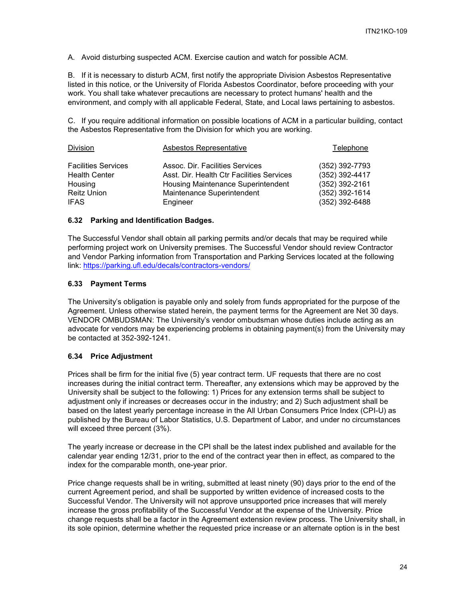A. Avoid disturbing suspected ACM. Exercise caution and watch for possible ACM.

B. If it is necessary to disturb ACM, first notify the appropriate Division Asbestos Representative listed in this notice, or the University of Florida Asbestos Coordinator, before proceeding with your work. You shall take whatever precautions are necessary to protect humans' health and the environment, and comply with all applicable Federal, State, and Local laws pertaining to asbestos.

C. If you require additional information on possible locations of ACM in a particular building, contact the Asbestos Representative from the Division for which you are working.

| Division                                                                                    | Asbestos Representative                                                                                                                                      | Telephone                                                                                |
|---------------------------------------------------------------------------------------------|--------------------------------------------------------------------------------------------------------------------------------------------------------------|------------------------------------------------------------------------------------------|
| <b>Facilities Services</b><br><b>Health Center</b><br>Housing<br>Reitz Union<br><b>IFAS</b> | Assoc. Dir. Facilities Services<br>Asst. Dir. Health Ctr Facilities Services<br>Housing Maintenance Superintendent<br>Maintenance Superintendent<br>Engineer | (352) 392-7793<br>(352) 392-4417<br>(352) 392-2161<br>(352) 392-1614<br>$(352)$ 392-6488 |
|                                                                                             |                                                                                                                                                              |                                                                                          |

#### <span id="page-23-0"></span>**6.32 Parking and Identification Badges.**

The Successful Vendor shall obtain all parking permits and/or decals that may be required while performing project work on University premises. The Successful Vendor should review Contractor and Vendor Parking information from Transportation and Parking Services located at the following link:<https://parking.ufl.edu/decals/contractors-vendors/>

#### <span id="page-23-1"></span>**6.33 Payment Terms**

The University's obligation is payable only and solely from funds appropriated for the purpose of the Agreement. Unless otherwise stated herein, the payment terms for the Agreement are Net 30 days. VENDOR OMBUDSMAN: The University's vendor ombudsman whose duties include acting as an advocate for vendors may be experiencing problems in obtaining payment(s) from the University may be contacted at 352-392-1241.

# <span id="page-23-2"></span>**6.34 Price Adjustment**

Prices shall be firm for the initial five (5) year contract term. UF requests that there are no cost increases during the initial contract term. Thereafter, any extensions which may be approved by the University shall be subject to the following: 1) Prices for any extension terms shall be subject to adjustment only if increases or decreases occur in the industry; and 2) Such adjustment shall be based on the latest yearly percentage increase in the All Urban Consumers Price Index (CPI-U) as published by the Bureau of Labor Statistics, U.S. Department of Labor, and under no circumstances will exceed three percent (3%).

The yearly increase or decrease in the CPI shall be the latest index published and available for the calendar year ending 12/31, prior to the end of the contract year then in effect, as compared to the index for the comparable month, one-year prior.

Price change requests shall be in writing, submitted at least ninety (90) days prior to the end of the current Agreement period, and shall be supported by written evidence of increased costs to the Successful Vendor. The University will not approve unsupported price increases that will merely increase the gross profitability of the Successful Vendor at the expense of the University. Price change requests shall be a factor in the Agreement extension review process. The University shall, in its sole opinion, determine whether the requested price increase or an alternate option is in the best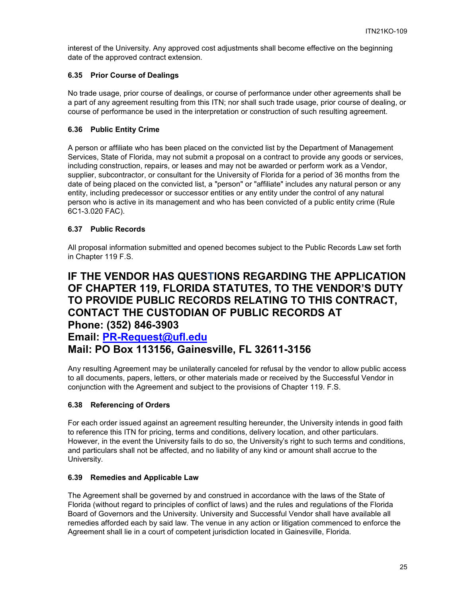interest of the University. Any approved cost adjustments shall become effective on the beginning date of the approved contract extension.

# <span id="page-24-0"></span>**6.35 Prior Course of Dealings**

No trade usage, prior course of dealings, or course of performance under other agreements shall be a part of any agreement resulting from this ITN; nor shall such trade usage, prior course of dealing, or course of performance be used in the interpretation or construction of such resulting agreement.

## <span id="page-24-1"></span>**6.36 Public Entity Crime**

A person or affiliate who has been placed on the convicted list by the Department of Management Services, State of Florida, may not submit a proposal on a contract to provide any goods or services, including construction, repairs, or leases and may not be awarded or perform work as a Vendor, supplier, subcontractor, or consultant for the University of Florida for a period of 36 months from the date of being placed on the convicted list, a "person" or "affiliate" includes any natural person or any entity, including predecessor or successor entities or any entity under the control of any natural person who is active in its management and who has been convicted of a public entity crime (Rule 6C1-3.020 FAC).

#### <span id="page-24-2"></span>**6.37 Public Records**

All proposal information submitted and opened becomes subject to the Public Records Law set forth in Chapter 119 F.S.

# **IF THE VENDOR HAS QUESTIONS REGARDING THE APPLICATION OF CHAPTER 119, FLORIDA STATUTES, TO THE VENDOR'S DUTY TO PROVIDE PUBLIC RECORDS RELATING TO THIS CONTRACT, CONTACT THE CUSTODIAN OF PUBLIC RECORDS AT Phone: (352) 846-3903**

# **Email: [PR-Request@ufl.edu](mailto:PR-Request@ufl.edu) Mail: PO Box 113156, Gainesville, FL 32611-3156**

Any resulting Agreement may be unilaterally canceled for refusal by the vendor to allow public access to all documents, papers, letters, or other materials made or received by the Successful Vendor in conjunction with the Agreement and subject to the provisions of Chapter 119. F.S.

# <span id="page-24-3"></span>**6.38 Referencing of Orders**

For each order issued against an agreement resulting hereunder, the University intends in good faith to reference this ITN for pricing, terms and conditions, delivery location, and other particulars. However, in the event the University fails to do so, the University's right to such terms and conditions, and particulars shall not be affected, and no liability of any kind or amount shall accrue to the University.

#### <span id="page-24-4"></span>**6.39 Remedies and Applicable Law**

The Agreement shall be governed by and construed in accordance with the laws of the State of Florida (without regard to principles of conflict of laws) and the rules and regulations of the Florida Board of Governors and the University. University and Successful Vendor shall have available all remedies afforded each by said law. The venue in any action or litigation commenced to enforce the Agreement shall lie in a court of competent jurisdiction located in Gainesville, Florida.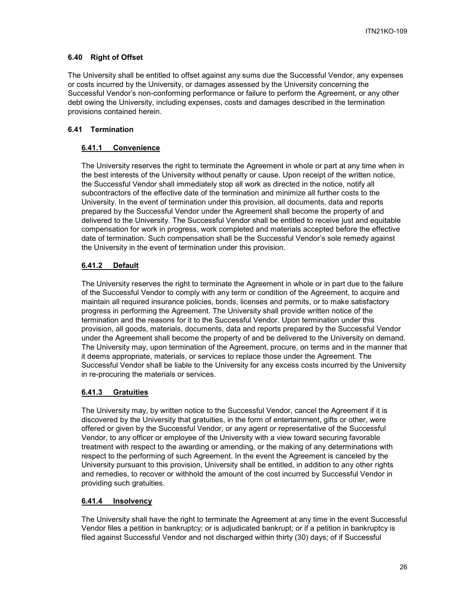# <span id="page-25-0"></span>**6.40 Right of Offset**

The University shall be entitled to offset against any sums due the Successful Vendor, any expenses or costs incurred by the University, or damages assessed by the University concerning the Successful Vendor's non-conforming performance or failure to perform the Agreement, or any other debt owing the University, including expenses, costs and damages described in the termination provisions contained herein.

# <span id="page-25-2"></span><span id="page-25-1"></span>**6.41 Termination**

# **6.41.1 Convenience**

The University reserves the right to terminate the Agreement in whole or part at any time when in the best interests of the University without penalty or cause. Upon receipt of the written notice, the Successful Vendor shall immediately stop all work as directed in the notice, notify all subcontractors of the effective date of the termination and minimize all further costs to the University. In the event of termination under this provision, all documents, data and reports prepared by the Successful Vendor under the Agreement shall become the property of and delivered to the University. The Successful Vendor shall be entitled to receive just and equitable compensation for work in progress, work completed and materials accepted before the effective date of termination. Such compensation shall be the Successful Vendor's sole remedy against the University in the event of termination under this provision.

# <span id="page-25-3"></span>**6.41.2 Default**

The University reserves the right to terminate the Agreement in whole or in part due to the failure of the Successful Vendor to comply with any term or condition of the Agreement, to acquire and maintain all required insurance policies, bonds, licenses and permits, or to make satisfactory progress in performing the Agreement. The University shall provide written notice of the termination and the reasons for it to the Successful Vendor. Upon termination under this provision, all goods, materials, documents, data and reports prepared by the Successful Vendor under the Agreement shall become the property of and be delivered to the University on demand. The University may, upon termination of the Agreement, procure, on terms and in the manner that it deems appropriate, materials, or services to replace those under the Agreement. The Successful Vendor shall be liable to the University for any excess costs incurred by the University in re-procuring the materials or services.

# <span id="page-25-4"></span>**6.41.3 Gratuities**

The University may, by written notice to the Successful Vendor, cancel the Agreement if it is discovered by the University that gratuities, in the form of entertainment, gifts or other, were offered or given by the Successful Vendor, or any agent or representative of the Successful Vendor, to any officer or employee of the University with a view toward securing favorable treatment with respect to the awarding or amending, or the making of any determinations with respect to the performing of such Agreement. In the event the Agreement is canceled by the University pursuant to this provision, University shall be entitled, in addition to any other rights and remedies, to recover or withhold the amount of the cost incurred by Successful Vendor in providing such gratuities.

# <span id="page-25-5"></span>**6.41.4 Insolvency**

The University shall have the right to terminate the Agreement at any time in the event Successful Vendor files a petition in bankruptcy; or is adjudicated bankrupt; or if a petition in bankruptcy is filed against Successful Vendor and not discharged within thirty (30) days; of if Successful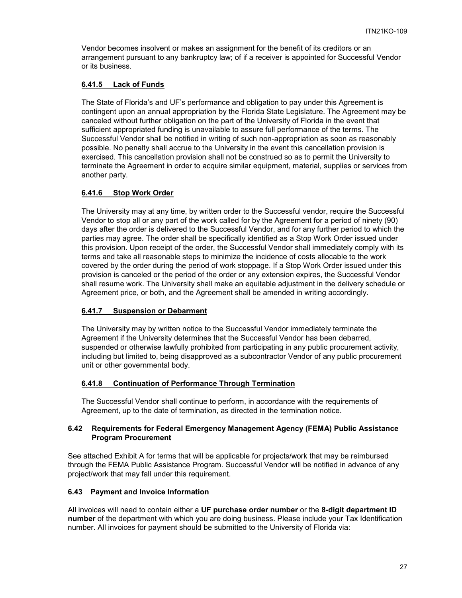Vendor becomes insolvent or makes an assignment for the benefit of its creditors or an arrangement pursuant to any bankruptcy law; of if a receiver is appointed for Successful Vendor or its business.

## <span id="page-26-0"></span>**6.41.5 Lack of Funds**

The State of Florida's and UF's performance and obligation to pay under this Agreement is contingent upon an annual appropriation by the Florida State Legislature. The Agreement may be canceled without further obligation on the part of the University of Florida in the event that sufficient appropriated funding is unavailable to assure full performance of the terms. The Successful Vendor shall be notified in writing of such non-appropriation as soon as reasonably possible. No penalty shall accrue to the University in the event this cancellation provision is exercised. This cancellation provision shall not be construed so as to permit the University to terminate the Agreement in order to acquire similar equipment, material, supplies or services from another party.

#### <span id="page-26-1"></span>**6.41.6 Stop Work Order**

The University may at any time, by written order to the Successful vendor, require the Successful Vendor to stop all or any part of the work called for by the Agreement for a period of ninety (90) days after the order is delivered to the Successful Vendor, and for any further period to which the parties may agree. The order shall be specifically identified as a Stop Work Order issued under this provision. Upon receipt of the order, the Successful Vendor shall immediately comply with its terms and take all reasonable steps to minimize the incidence of costs allocable to the work covered by the order during the period of work stoppage. If a Stop Work Order issued under this provision is canceled or the period of the order or any extension expires, the Successful Vendor shall resume work. The University shall make an equitable adjustment in the delivery schedule or Agreement price, or both, and the Agreement shall be amended in writing accordingly.

#### <span id="page-26-2"></span>**6.41.7 Suspension or Debarment**

The University may by written notice to the Successful Vendor immediately terminate the Agreement if the University determines that the Successful Vendor has been debarred, suspended or otherwise lawfully prohibited from participating in any public procurement activity, including but limited to, being disapproved as a subcontractor Vendor of any public procurement unit or other governmental body.

#### <span id="page-26-3"></span>**6.41.8 Continuation of Performance Through Termination**

The Successful Vendor shall continue to perform, in accordance with the requirements of Agreement, up to the date of termination, as directed in the termination notice.

#### <span id="page-26-4"></span>**6.42 Requirements for Federal Emergency Management Agency (FEMA) Public Assistance Program Procurement**

See attached Exhibit A for terms that will be applicable for projects/work that may be reimbursed through the FEMA Public Assistance Program. Successful Vendor will be notified in advance of any project/work that may fall under this requirement.

#### <span id="page-26-5"></span>**6.43 Payment and Invoice Information**

All invoices will need to contain either a **UF purchase order number** or the **8-digit department ID number** of the department with which you are doing business. Please include your Tax Identification number. All invoices for payment should be submitted to the University of Florida via: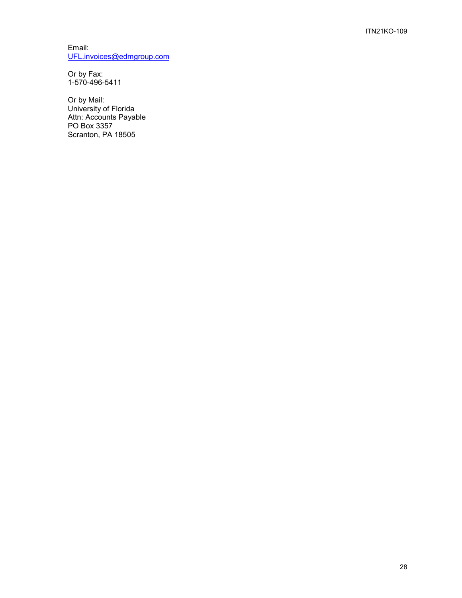Email: [UFL.invoices@edmgroup.com](mailto:UFL.invoices@edmgroup.com)

Or by Fax: 1-570-496-5411

Or by Mail: University of Florida Attn: Accounts Payable PO Box 3357 Scranton, PA 18505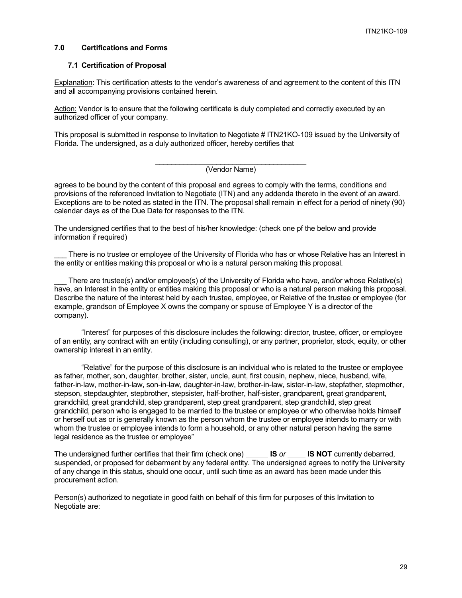#### <span id="page-28-0"></span>**7.0 Certifications and Forms**

#### <span id="page-28-1"></span>**7.1 Certification of Proposal**

Explanation: This certification attests to the vendor's awareness of and agreement to the content of this ITN and all accompanying provisions contained herein.

Action: Vendor is to ensure that the following certificate is duly completed and correctly executed by an authorized officer of your company.

This proposal is submitted in response to Invitation to Negotiate # ITN21KO-109 issued by the University of Florida. The undersigned, as a duly authorized officer, hereby certifies that

#### \_\_\_\_\_\_\_\_\_\_\_\_\_\_\_\_\_\_\_\_\_\_\_\_\_\_\_\_\_\_\_\_\_\_\_\_\_ (Vendor Name)

agrees to be bound by the content of this proposal and agrees to comply with the terms, conditions and provisions of the referenced Invitation to Negotiate (ITN) and any addenda thereto in the event of an award. Exceptions are to be noted as stated in the ITN. The proposal shall remain in effect for a period of ninety (90) calendar days as of the Due Date for responses to the ITN.

The undersigned certifies that to the best of his/her knowledge: (check one pf the below and provide information if required)

There is no trustee or employee of the University of Florida who has or whose Relative has an Interest in the entity or entities making this proposal or who is a natural person making this proposal.

There are trustee(s) and/or employee(s) of the University of Florida who have, and/or whose Relative(s) have, an Interest in the entity or entities making this proposal or who is a natural person making this proposal. Describe the nature of the interest held by each trustee, employee, or Relative of the trustee or employee (for example, grandson of Employee X owns the company or spouse of Employee Y is a director of the company).

"Interest" for purposes of this disclosure includes the following: director, trustee, officer, or employee of an entity, any contract with an entity (including consulting), or any partner, proprietor, stock, equity, or other ownership interest in an entity.

"Relative" for the purpose of this disclosure is an individual who is related to the trustee or employee as father, mother, son, daughter, brother, sister, uncle, aunt, first cousin, nephew, niece, husband, wife, father-in-law, mother-in-law, son-in-law, daughter-in-law, brother-in-law, sister-in-law, stepfather, stepmother, stepson, stepdaughter, stepbrother, stepsister, half-brother, half-sister, grandparent, great grandparent, grandchild, great grandchild, step grandparent, step great grandparent, step grandchild, step great grandchild, person who is engaged to be married to the trustee or employee or who otherwise holds himself or herself out as or is generally known as the person whom the trustee or employee intends to marry or with whom the trustee or employee intends to form a household, or any other natural person having the same legal residence as the trustee or employee"

The undersigned further certifies that their firm (check one) **IS** *or* **IS NOT** currently debarred, suspended, or proposed for debarment by any federal entity. The undersigned agrees to notify the University of any change in this status, should one occur, until such time as an award has been made under this procurement action.

Person(s) authorized to negotiate in good faith on behalf of this firm for purposes of this Invitation to Negotiate are: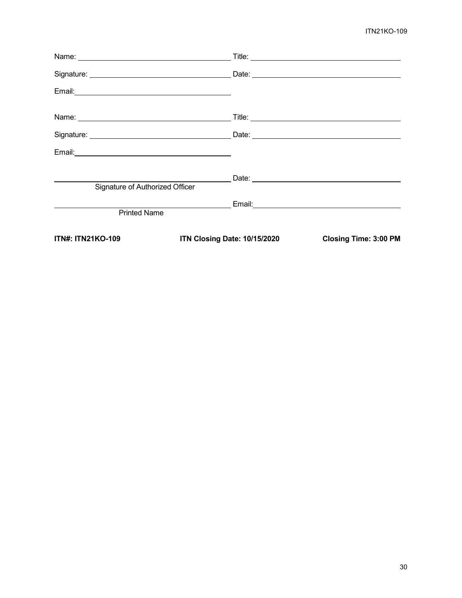# ITN21KO-109

| <b>ITN#: ITN21KO-109</b>                                                                                                                                                                                                       | ITN Closing Date: 10/15/2020 | <b>Closing Time: 3:00 PM</b> |
|--------------------------------------------------------------------------------------------------------------------------------------------------------------------------------------------------------------------------------|------------------------------|------------------------------|
| <b>Printed Name</b>                                                                                                                                                                                                            |                              |                              |
|                                                                                                                                                                                                                                |                              |                              |
| Signature of Authorized Officer                                                                                                                                                                                                |                              |                              |
|                                                                                                                                                                                                                                |                              |                              |
| Email: Note: Note: No. 2014 19:00:00 Percent Contract Contract Contract Contract Contract Contract Contract Contract Contract Contract Contract Contract Contract Contract Contract Contract Contract Contract Contract Contra |                              |                              |
|                                                                                                                                                                                                                                |                              |                              |
|                                                                                                                                                                                                                                |                              |                              |
|                                                                                                                                                                                                                                |                              |                              |
|                                                                                                                                                                                                                                |                              |                              |
| Name: Name and the service of the service of the service of the service of the service of the service of the service of the service of the service of the service of the service of the service of the service of the service  |                              |                              |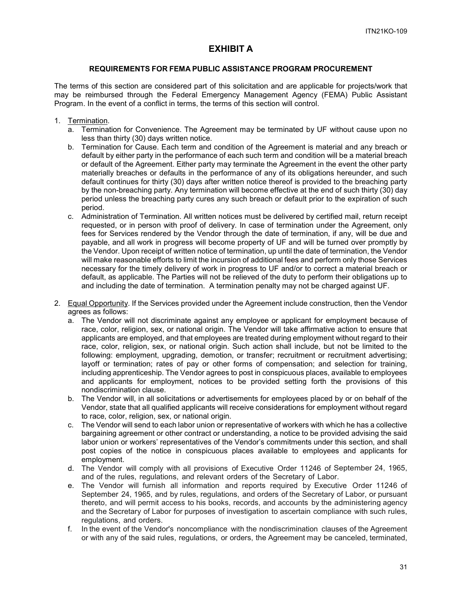# **EXHIBIT A**

#### **REQUIREMENTS FOR FEMA PUBLIC ASSISTANCE PROGRAM PROCUREMENT**

The terms of this section are considered part of this solicitation and are applicable for projects/work that may be reimbursed through the Federal Emergency Management Agency (FEMA) Public Assistant Program. In the event of a conflict in terms, the terms of this section will control.

- 1. Termination.
	- a. Termination for Convenience. The Agreement may be terminated by UF without cause upon no less than thirty (30) days written notice.
	- b. Termination for Cause. Each term and condition of the Agreement is material and any breach or default by either party in the performance of each such term and condition will be a material breach or default of the Agreement. Either party may terminate the Agreement in the event the other party materially breaches or defaults in the performance of any of its obligations hereunder, and such default continues for thirty (30) days after written notice thereof is provided to the breaching party by the non-breaching party. Any termination will become effective at the end of such thirty (30) day period unless the breaching party cures any such breach or default prior to the expiration of such period.
	- c. Administration of Termination. All written notices must be delivered by certified mail, return receipt requested, or in person with proof of delivery. In case of termination under the Agreement, only fees for Services rendered by the Vendor through the date of termination, if any, will be due and payable, and all work in progress will become property of UF and will be turned over promptly by the Vendor. Upon receipt of written notice of termination, up until the date of termination, the Vendor will make reasonable efforts to limit the incursion of additional fees and perform only those Services necessary for the timely delivery of work in progress to UF and/or to correct a material breach or default, as applicable. The Parties will not be relieved of the duty to perform their obligations up to and including the date of termination. A termination penalty may not be charged against UF.
- 2. Equal Opportunity. If the Services provided under the Agreement include construction, then the Vendor agrees as follows:
	- a. The Vendor will not discriminate against any employee or applicant for employment because of race, color, religion, sex, or national origin. The Vendor will take affirmative action to ensure that applicants are employed, and that employees are treated during employment without regard to their race, color, religion, sex, or national origin. Such action shall include, but not be limited to the following: employment, upgrading, demotion, or transfer; recruitment or recruitment advertising; layoff or termination; rates of pay or other forms of compensation; and selection for training, including apprenticeship. The Vendor agrees to post in conspicuous places, available to employees and applicants for employment, notices to be provided setting forth the provisions of this nondiscrimination clause.
	- b. The Vendor will, in all solicitations or advertisements for employees placed by or on behalf of the Vendor, state that all qualified applicants will receive considerations for employment without regard to race, color, religion, sex, or national origin.
	- c. The Vendor will send to each labor union or representative of workers with which he has a collective bargaining agreement or other contract or understanding, a notice to be provided advising the said labor union or workers' representatives of the Vendor's commitments under this section, and shall post copies of the notice in conspicuous places available to employees and applicants for employment.
	- d. The Vendor will comply with all provisions of Executive Order 11246 of September 24, 1965, and of the rules, regulations, and relevant orders of the Secretary of Labor.
	- e. The Vendor will furnish all information and reports required by Executive Order 11246 of September 24, 1965, and by rules, regulations, and orders of the Secretary of Labor, or pursuant thereto, and will permit access to his books, records, and accounts by the administering agency and the Secretary of Labor for purposes of investigation to ascertain compliance with such rules, regulations, and orders.
	- f. In the event of the Vendor's noncompliance with the nondiscrimination clauses of the Agreement or with any of the said rules, regulations, or orders, the Agreement may be canceled, terminated,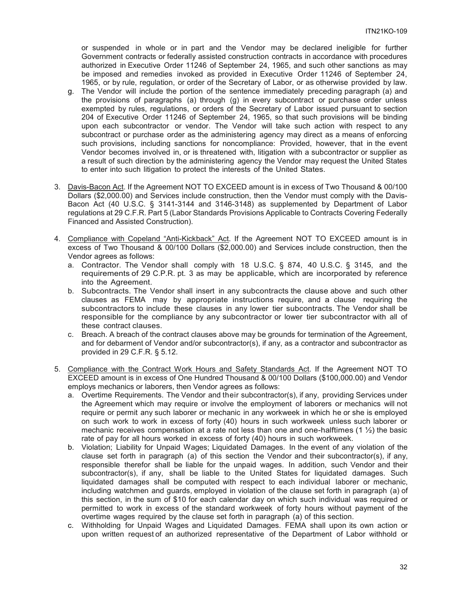or suspended in whole or in part and the Vendor may be declared ineligible for further Government contracts or federally assisted construction contracts in accordance with procedures authorized in Executive Order 11246 of September 24, 1965, and such other sanctions as may be imposed and remedies invoked as provided in Executive Order 11246 of September 24, 1965, or by rule, regulation, or order of the Secretary of Labor, or as otherwise provided by law.

- g. The Vendor will include the portion of the sentence immediately preceding paragraph (a) and the provisions of paragraphs (a) through (g) in every subcontract or purchase order unless exempted by rules, regulations, or orders of the Secretary of Labor issued pursuant to section 204 of Executive Order 11246 of September 24, 1965, so that such provisions will be binding upon each subcontractor or vendor. The Vendor will take such action with respect to any subcontract or purchase order as the administering agency may direct as a means of enforcing such provisions, including sanctions for noncompliance: Provided, however, that in the event Vendor becomes involved in, or is threatened with, litigation with a subcontractor or supplier as a result of such direction by the administering agency the Vendor may request the United States to enter into such litigation to protect the interests of the United States.
- 3. Davis-Bacon Act. If the Agreement NOT TO EXCEED amount is in excess of Two Thousand & 00/100 Dollars (\$2,000.00) and Services include construction, then the Vendor must comply with the Davis-Bacon Act (40 U.S.C. § 3141-3144 and 3146-3148) as supplemented by Department of Labor regulations at 29 C.F.R. Part 5 (Labor Standards Provisions Applicable to Contracts Covering Federally Financed and Assisted Construction).
- 4. Compliance with Copeland "Anti-Kickback" Act. If the Agreement NOT TO EXCEED amount is in excess of Two Thousand & 00/100 Dollars (\$2,000.00) and Services include construction, then the Vendor agrees as follows:
	- a. Contractor. The Vendor shall comply with 18 U.S.C. § 874, 40 U.S.C. § 3145, and the requirements of 29 C.P.R. pt. 3 as may be applicable, which are incorporated by reference into the Agreement.
	- b. Subcontracts. The Vendor shall insert in any subcontracts the clause above and such other clauses as FEMA may by appropriate instructions require, and a clause requiring the subcontractors to include these clauses in any lower tier subcontracts. The Vendor shall be responsible for the compliance by any subcontractor or lower tier subcontractor with all of these contract clauses.
	- c. Breach. A breach of the contract clauses above may be grounds for termination of the Agreement, and for debarment of Vendor and/or subcontractor(s), if any, as a contractor and subcontractor as provided in 29 C.F.R. § 5.12.
- 5. Compliance with the Contract Work Hours and Safety Standards Act. If the Agreement NOT TO EXCEED amount is in excess of One Hundred Thousand & 00/100 Dollars (\$100,000.00) and Vendor employs mechanics or laborers, then Vendor agrees as follows:
	- a. Overtime Requirements. The Vendor and their subcontractor(s), if any, providing Services under the Agreement which may require or involve the employment of laborers or mechanics will not require or permit any such laborer or mechanic in any workweek in which he or she is employed on such work to work in excess of forty (40) hours in such workweek unless such laborer or mechanic receives compensation at a rate not less than one and one-halftimes (1  $\frac{1}{2}$ ) the basic rate of pay for all hours worked in excess of forty (40) hours in such workweek.
	- b. Violation; Liability for Unpaid Wages; Liquidated Damages. In the event of any violation of the clause set forth in paragraph (a) of this section the Vendor and their subcontractor(s), if any, responsible therefor shall be liable for the unpaid wages. In addition, such Vendor and their subcontractor(s), if any, shall be liable to the United States for liquidated damages. Such liquidated damages shall be computed with respect to each individual laborer or mechanic, including watchmen and guards, employed in violation of the clause set forth in paragraph (a) of this section, in the sum of \$10 for each calendar day on which such individual was required or permitted to work in excess of the standard workweek of forty hours without payment of the overtime wages required by the clause set forth in paragraph (a) of this section.
	- c. Withholding for Unpaid Wages and Liquidated Damages. FEMA shall upon its own action or upon written request.of an authorized representative of the Department of Labor withhold or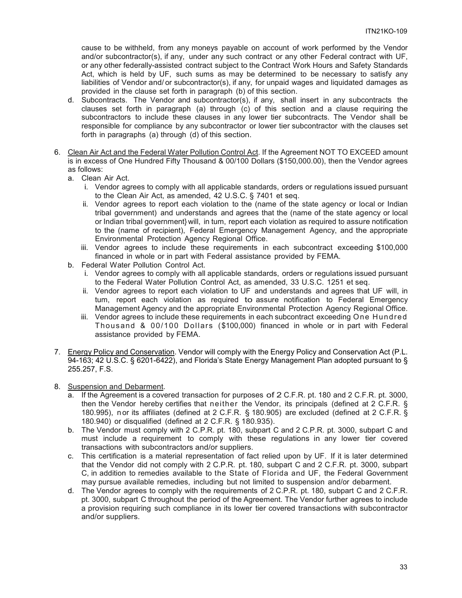cause to be withheld, from any moneys payable on account of work performed by the Vendor and/or subcontractor(s), if any, under any such contract or any other Federal contract with UF, or any other federally-assisted contract subject to the Contract Work Hours and Safety Standards Act, which is held by UF, such sums as may be determined to be necessary to satisfy any liabilities of Vendor and/ or subcontractor(s), if any, for unpaid wages and liquidated damages as provided in the clause set forth in paragraph (b) of this section.

- d. Subcontracts. The Vendor and subcontractor(s), if any, shall insert in any subcontracts the clauses set forth in paragraph (a) through (c) of this section and a clause requiring the subcontractors to include these clauses in any lower tier subcontracts. The Vendor shall be responsible for compliance by any subcontractor or lower tier subcontractor with the clauses set forth in paragraphs (a) through (d) of this section.
- 6. Clean Air Act and the Federal Water Pollution Control Act. If the Agreement NOT TO EXCEED amount is in excess of One Hundred Fifty Thousand & 00/100 Dollars (\$150,000.00), then the Vendor agrees as follows:
	- a. Clean Air Act.
		- i. Vendor agrees to comply with all applicable standards, orders or regulations issued pursuant to the Clean Air Act, as amended, 42 U.S.C. § 7401 et seq.
		- ii. Vendor agrees to report each violation to the (name of the state agency or local or Indian tribal government) and understands and agrees that the (name of the state agency or local or Indian tribal government} will, in tum, report each violation as required to assure notification to the (name of recipient), Federal Emergency Management Agency, and the appropriate Environmental Protection Agency Regional Office.
		- iii. Vendor agrees to include these requirements in each subcontract exceeding \$100,000 financed in whole or in part with Federal assistance provided by FEMA.
	- b. Federal Water Pollution Control Act.
		- i. Vendor agrees to comply with all applicable standards, orders or regulations issued pursuant to the Federal Water Pollution Control Act, as amended, 33 U.S.C. 1251 et seq.
		- ii. Vendor agrees to report each violation to UF and understands and agrees that UF will, in tum, report each violation as required to assure notification to Federal Emergency Management Agency and the appropriate Environmental Protection Agency Regional Office.
		- iii. Vendor agrees to include these requirements in each subcontract exceeding One Hundred Thousand & 00/100 Dollars (\$100,000) financed in whole or in part with Federal assistance provided by FEMA.
- 7. Energy Policy and Conservation. Vendor will comply with the Energy Policy and Conservation Act (P.L. 94-163; 42 U.S.C. § 6201-6422), and Florida's State Energy Management Plan adopted pursuant to § 255.257, F.S.
- 8. Suspension and Debarment.
	- a. If the Agreement is a covered transaction for purposes of 2 C.F.R. pt. 180 and 2 C.F.R. pt. 3000, then the Vendor hereby certifies that neither the Vendor, its principals (defined at 2 C.F.R. § 180.995), n or its affiliates (defined at 2 C.F.R. § 180.905) are excluded (defined at 2 C.F.R. § 180.940) or disqualified (defined at 2 C.F.R. § 180.935).
	- b. The Vendor must comply with 2 C.P.R. pt. 180, subpart C and 2 C.P.R. pt. 3000, subpart C and must include a requirement to comply with these regulations in any lower tier covered transactions with subcontractors and/or suppliers.
	- c. This certification is a material representation of fact relied upon by UF. If it is later determined that the Vendor did not comply with 2 C.P.R. pt. 180, subpart C and 2 C.F.R. pt. 3000, subpart C, in addition to remedies available to the State of Florida and UF, the Federal Government may pursue available remedies, including but not limited to suspension and/or debarment.
	- d. The Vendor agrees to comply with the requirements of 2 C.P.R. pt. 180, subpart C and 2 C.F.R. pt. 3000, subpart C throughout the period of the Agreement. The Vendor further agrees to include a provision requiring such compliance in its lower tier covered transactions with subcontractor and/or suppliers.